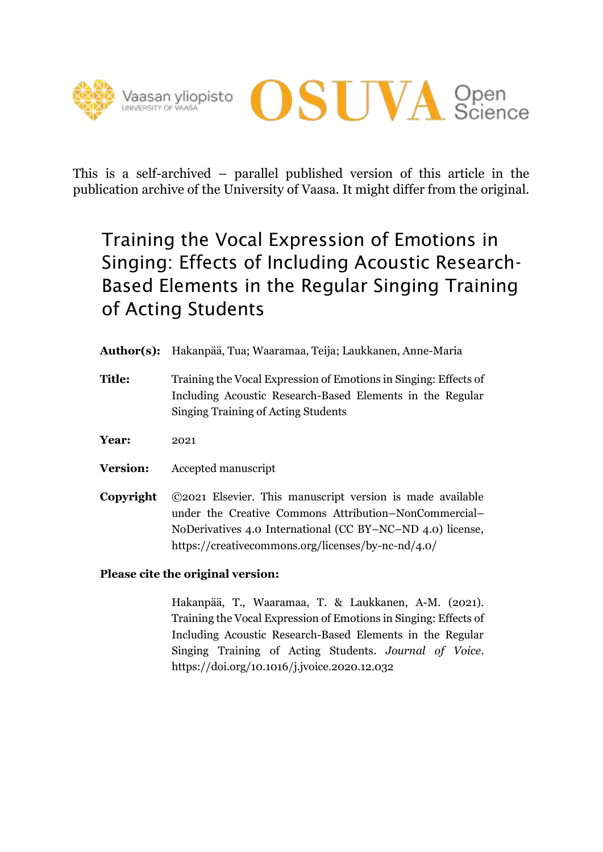



This is a self-archived – parallel published version of this article in the publication archive of the University of Vaasa. It might differ from the original.

## Training the Vocal Expression of Emotions in Singing: Effects of Including Acoustic Research-Based Elements in the Regular Singing Training of Acting Students

- **Author(s):** Hakanpää, Tua; Waaramaa, Teija; Laukkanen, Anne-Maria
- **Title:** Training the Vocal Expression of Emotions in Singing: Effects of Including Acoustic Research-Based Elements in the Regular Singing Training of Acting Students
- **Year:** 2021
- **Version:** Accepted manuscript
- **Copyright** ©2021 Elsevier. This manuscript version is made available under the Creative Commons Attribution–NonCommercial– NoDerivatives 4.0 International (CC BY–NC–ND 4.0) license, https://creativecommons.org/licenses/by-nc-nd/4.0/

#### **Please cite the original version:**

Hakanpää, T., Waaramaa, T. & Laukkanen, A-M. (2021). Training the Vocal Expression of Emotions in Singing: Effects of Including Acoustic Research-Based Elements in the Regular Singing Training of Acting Students. *Journal of Voice*. https://doi.org/10.1016/j.jvoice.2020.12.032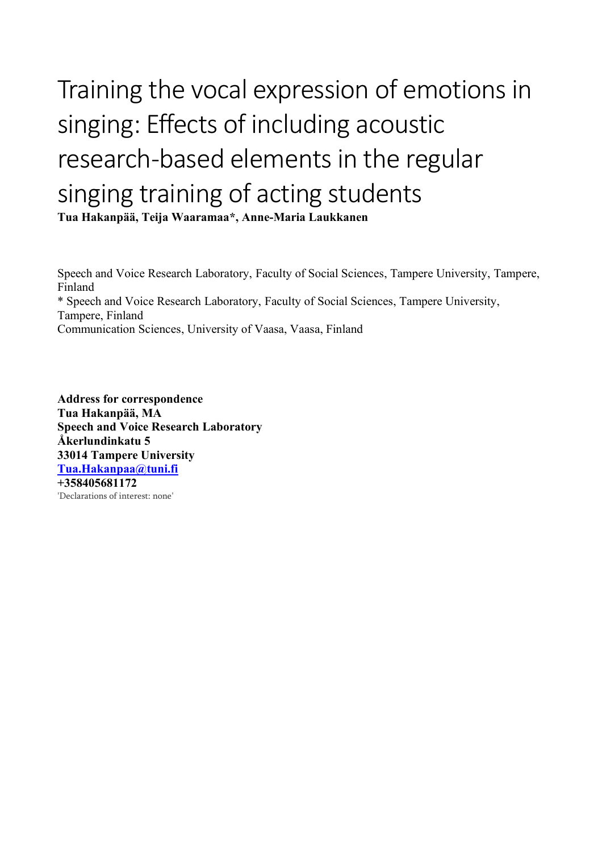# Training the vocal expression of emotions in singing: Effects of including acoustic research-based elements in the regular singing training of acting students **Tua Hakanpää, Teija Waaramaa\*, Anne-Maria Laukkanen**

Speech and Voice Research Laboratory, Faculty of Social Sciences, Tampere University, Tampere, Finland \* Speech and Voice Research Laboratory, Faculty of Social Sciences, Tampere University, Tampere, Finland Communication Sciences, University of Vaasa, Vaasa, Finland

**Address for correspondence Tua Hakanpää, MA Speech and Voice Research Laboratory Åkerlundinkatu 5 33014 Tampere University Tua.Hakanpaa@tuni.fi +358405681172** 'Declarations of interest: none'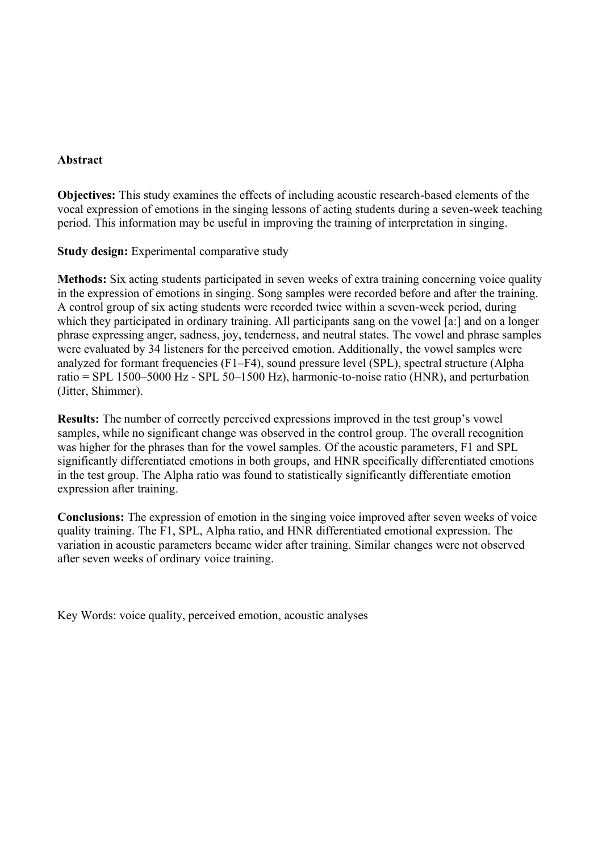#### **Abstract**

**Objectives:** This study examines the effects of including acoustic research-based elements of the vocal expression of emotions in the singing lessons of acting students during a seven-week teaching period. This information may be useful in improving the training of interpretation in singing.

**Study design:** Experimental comparative study

**Methods:** Six acting students participated in seven weeks of extra training concerning voice quality in the expression of emotions in singing. Song samples were recorded before and after the training. A control group of six acting students were recorded twice within a seven-week period, during which they participated in ordinary training. All participants sang on the vowel [a:] and on a longer phrase expressing anger, sadness, joy, tenderness, and neutral states. The vowel and phrase samples were evaluated by 34 listeners for the perceived emotion. Additionally, the vowel samples were analyzed for formant frequencies  $(F1-F4)$ , sound pressure level (SPL), spectral structure (Alpha ratio = SPL 1500–5000 Hz - SPL 50–1500 Hz), harmonic-to-noise ratio (HNR), and perturbation (Jitter, Shimmer).

**Results:** The number of correctly perceived expressions improved in the test group's vowel samples, while no significant change was observed in the control group. The overall recognition was higher for the phrases than for the vowel samples. Of the acoustic parameters, F1 and SPL significantly differentiated emotions in both groups, and HNR specifically differentiated emotions in the test group. The Alpha ratio was found to statistically significantly differentiate emotion expression after training.

**Conclusions:** The expression of emotion in the singing voice improved after seven weeks of voice quality training. The F1, SPL, Alpha ratio, and HNR differentiated emotional expression. The variation in acoustic parameters became wider after training. Similar changes were not observed after seven weeks of ordinary voice training.

Key Words: voice quality, perceived emotion, acoustic analyses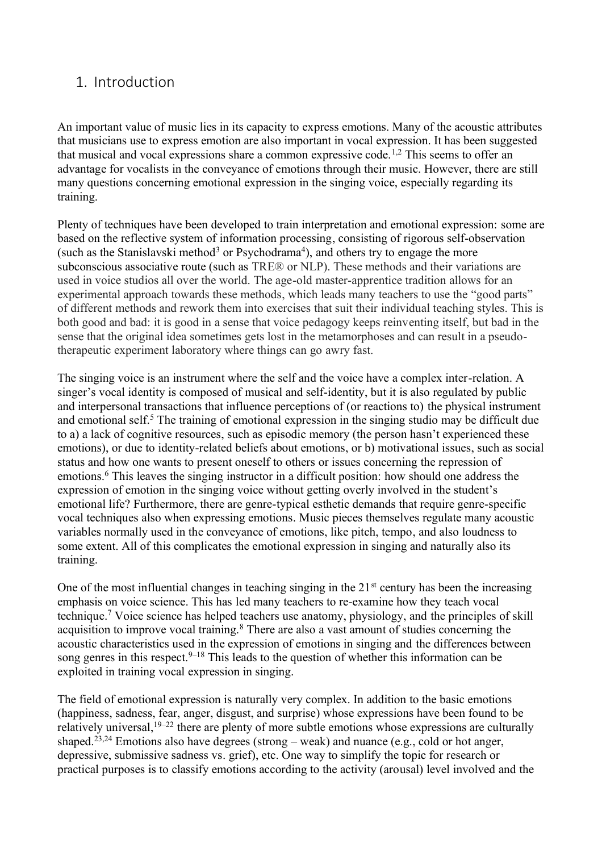## 1. Introduction

An important value of music lies in its capacity to express emotions. Many of the acoustic attributes that musicians use to express emotion are also important in vocal expression. It has been suggested that musical and vocal expressions share a common expressive code.<sup>1,2</sup> This seems to offer an advantage for vocalists in the conveyance of emotions through their music. However, there are still many questions concerning emotional expression in the singing voice, especially regarding its training.

Plenty of techniques have been developed to train interpretation and emotional expression: some are based on the reflective system of information processing, consisting of rigorous self-observation (such as the Stanislavski method<sup>3</sup> or Psychodrama<sup>4</sup>), and others try to engage the more subconscious associative route (such as TRE® or NLP). These methods and their variations are used in voice studios all over the world. The age-old master-apprentice tradition allows for an experimental approach towards these methods, which leads many teachers to use the "good parts" of different methods and rework them into exercises that suit their individual teaching styles. This is both good and bad: it is good in a sense that voice pedagogy keeps reinventing itself, but bad in the sense that the original idea sometimes gets lost in the metamorphoses and can result in a pseudotherapeutic experiment laboratory where things can go awry fast.

The singing voice is an instrument where the self and the voice have a complex inter-relation. A singer's vocal identity is composed of musical and self-identity, but it is also regulated by public and interpersonal transactions that influence perceptions of (or reactions to) the physical instrument and emotional self.<sup>5</sup> The training of emotional expression in the singing studio may be difficult due to a) a lack of cognitive resources, such as episodic memory (the person hasn't experienced these emotions), or due to identity-related beliefs about emotions, or b) motivational issues, such as social status and how one wants to present oneself to others or issues concerning the repression of emotions.<sup>6</sup> This leaves the singing instructor in a difficult position: how should one address the expression of emotion in the singing voice without getting overly involved in the student's emotional life? Furthermore, there are genre-typical esthetic demands that require genre-specific vocal techniques also when expressing emotions. Music pieces themselves regulate many acoustic variables normally used in the conveyance of emotions, like pitch, tempo, and also loudness to some extent. All of this complicates the emotional expression in singing and naturally also its training.

One of the most influential changes in teaching singing in the  $21<sup>st</sup>$  century has been the increasing emphasis on voice science. This has led many teachers to re-examine how they teach vocal technique.<sup>7</sup> Voice science has helped teachers use anatomy, physiology, and the principles of skill acquisition to improve vocal training.<sup>8</sup> There are also a vast amount of studies concerning the acoustic characteristics used in the expression of emotions in singing and the differences between song genres in this respect.  $9-18$  This leads to the question of whether this information can be exploited in training vocal expression in singing.

The field of emotional expression is naturally very complex. In addition to the basic emotions (happiness, sadness, fear, anger, disgust, and surprise) whose expressions have been found to be relatively universal, <sup>19–22</sup> there are plenty of more subtle emotions whose expressions are culturally shaped.<sup>23,24</sup> Emotions also have degrees (strong  $-$  weak) and nuance (e.g., cold or hot anger, depressive, submissive sadness vs. grief), etc. One way to simplify the topic for research or practical purposes is to classify emotions according to the activity (arousal) level involved and the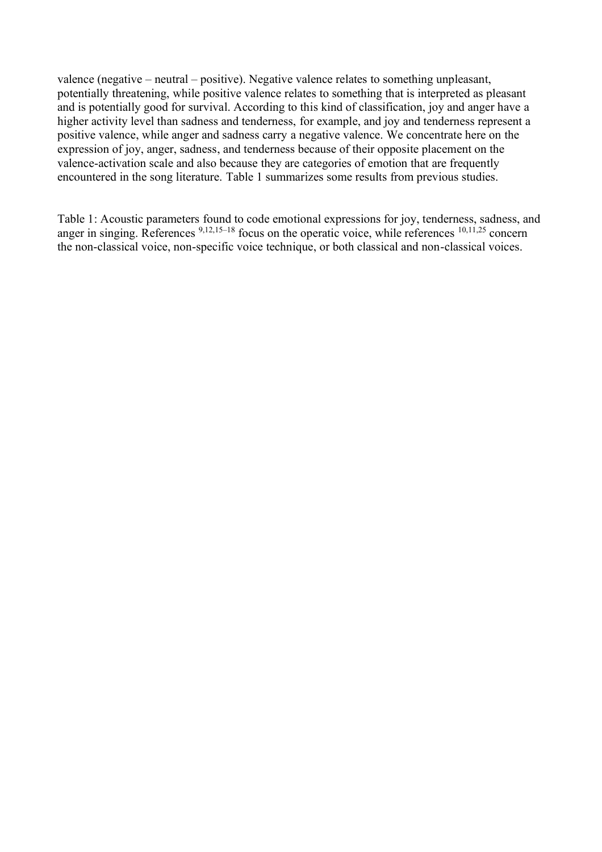valence (negative – neutral – positive). Negative valence relates to something unpleasant, potentially threatening, while positive valence relates to something that is interpreted as pleasant and is potentially good for survival. According to this kind of classification, joy and anger have a higher activity level than sadness and tenderness, for example, and joy and tenderness represent a positive valence, while anger and sadness carry a negative valence. We concentrate here on the expression of joy, anger, sadness, and tenderness because of their opposite placement on the valence-activation scale and also because they are categories of emotion that are frequently encountered in the song literature. Table 1 summarizes some results from previous studies.

Table 1: Acoustic parameters found to code emotional expressions for joy, tenderness, sadness, and anger in singing. References <sup>9,12,15–18</sup> focus on the operatic voice, while references <sup>10,11,25</sup> concern the non-classical voice, non-specific voice technique, or both classical and non-classical voices.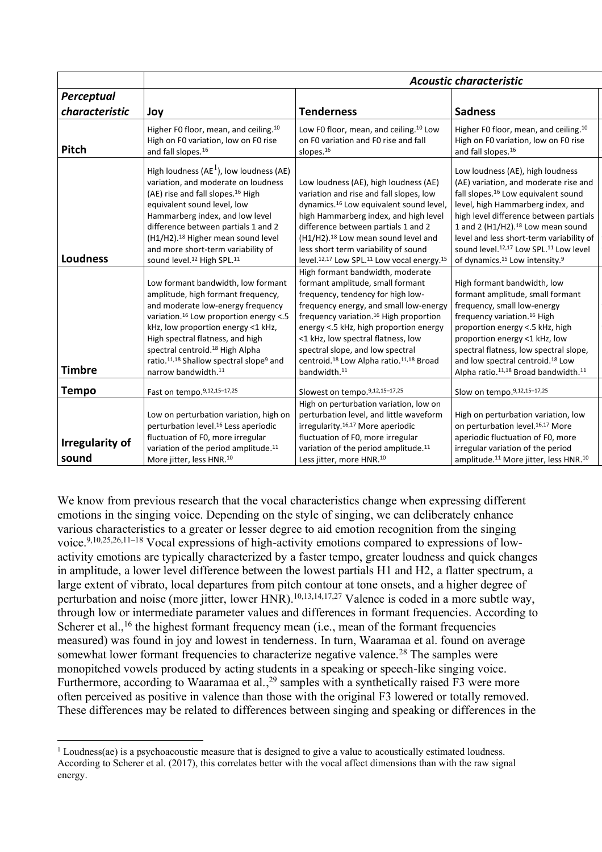| Perceptual<br>characteristic<br><b>Tenderness</b><br><b>Sadness</b><br>Joy<br>Higher F0 floor, mean, and ceiling. <sup>10</sup><br>Low F0 floor, mean, and ceiling. <sup>10</sup> Low<br>Higher F0 floor, mean, and ceiling. <sup>10</sup><br>High on F0 variation, low on F0 rise<br>on F0 variation and F0 rise and fall<br>High on F0 variation, low on F0 rise<br>Pitch<br>and fall slopes. <sup>16</sup><br>slopes. <sup>16</sup><br>and fall slopes. <sup>16</sup><br>High loudness ( $AE1$ ), low loudness (AE)<br>Low loudness (AE), high loudness<br>variation, and moderate on loudness<br>Low loudness (AE), high loudness (AE)<br>(AE) variation, and moderate rise and<br>(AE) rise and fall slopes. <sup>16</sup> High<br>fall slopes. <sup>16</sup> Low equivalent sound<br>variation and rise and fall slopes, low<br>dynamics. <sup>16</sup> Low equivalent sound level,<br>equivalent sound level, low<br>level, high Hammarberg index, and<br>Hammarberg index, and low level<br>high Hammarberg index, and high level<br>high level difference between partials<br>difference between partials 1 and 2<br>difference between partials 1 and 2<br>1 and 2 (H1/H2). <sup>18</sup> Low mean sound<br>(H1/H2). <sup>18</sup> Higher mean sound level<br>(H1/H2). <sup>18</sup> Low mean sound level and<br>level and less short-term variability of<br>sound level. <sup>12,17</sup> Low SPL. <sup>11</sup> Low level<br>and more short-term variability of<br>less short term variability of sound<br><b>Loudness</b><br>sound level. <sup>12</sup> High SPL. <sup>11</sup><br>level. <sup>12,17</sup> Low SPL. <sup>11</sup> Low vocal energy. <sup>15</sup><br>of dynamics. <sup>15</sup> Low intensity. <sup>9</sup><br>High formant bandwidth, moderate<br>Low formant bandwidth, low formant<br>formant amplitude, small formant<br>High formant bandwidth, low<br>amplitude, high formant frequency,<br>frequency, tendency for high low-<br>formant amplitude, small formant<br>and moderate low-energy frequency<br>frequency energy, and small low-energy<br>frequency, small low-energy |  |
|--------------------------------------------------------------------------------------------------------------------------------------------------------------------------------------------------------------------------------------------------------------------------------------------------------------------------------------------------------------------------------------------------------------------------------------------------------------------------------------------------------------------------------------------------------------------------------------------------------------------------------------------------------------------------------------------------------------------------------------------------------------------------------------------------------------------------------------------------------------------------------------------------------------------------------------------------------------------------------------------------------------------------------------------------------------------------------------------------------------------------------------------------------------------------------------------------------------------------------------------------------------------------------------------------------------------------------------------------------------------------------------------------------------------------------------------------------------------------------------------------------------------------------------------------------------------------------------------------------------------------------------------------------------------------------------------------------------------------------------------------------------------------------------------------------------------------------------------------------------------------------------------------------------------------------------------------------------------------------------------------------------------------------------------------------------------------------------------------------------------|--|
|                                                                                                                                                                                                                                                                                                                                                                                                                                                                                                                                                                                                                                                                                                                                                                                                                                                                                                                                                                                                                                                                                                                                                                                                                                                                                                                                                                                                                                                                                                                                                                                                                                                                                                                                                                                                                                                                                                                                                                                                                                                                                                                    |  |
|                                                                                                                                                                                                                                                                                                                                                                                                                                                                                                                                                                                                                                                                                                                                                                                                                                                                                                                                                                                                                                                                                                                                                                                                                                                                                                                                                                                                                                                                                                                                                                                                                                                                                                                                                                                                                                                                                                                                                                                                                                                                                                                    |  |
|                                                                                                                                                                                                                                                                                                                                                                                                                                                                                                                                                                                                                                                                                                                                                                                                                                                                                                                                                                                                                                                                                                                                                                                                                                                                                                                                                                                                                                                                                                                                                                                                                                                                                                                                                                                                                                                                                                                                                                                                                                                                                                                    |  |
|                                                                                                                                                                                                                                                                                                                                                                                                                                                                                                                                                                                                                                                                                                                                                                                                                                                                                                                                                                                                                                                                                                                                                                                                                                                                                                                                                                                                                                                                                                                                                                                                                                                                                                                                                                                                                                                                                                                                                                                                                                                                                                                    |  |
| frequency variation. <sup>16</sup> High<br>variation. <sup>16</sup> Low proportion energy <.5<br>frequency variation. <sup>16</sup> High proportion<br>kHz, low proportion energy <1 kHz,<br>energy <. 5 kHz, high proportion energy<br>proportion energy <.5 kHz, high<br>High spectral flatness, and high<br>proportion energy <1 kHz, low<br><1 kHz, low spectral flatness, low<br>spectral centroid. <sup>18</sup> High Alpha<br>spectral flatness, low spectral slope,<br>spectral slope, and low spectral<br>ratio. <sup>11,18</sup> Shallow spectral slope <sup>9</sup> and<br>centroid. <sup>18</sup> Low Alpha ratio. <sup>11,18</sup> Broad<br>and low spectral centroid. <sup>18</sup> Low<br><b>Timbre</b><br>narrow bandwidth. <sup>11</sup><br>bandwidth. <sup>11</sup><br>Alpha ratio. <sup>11,18</sup> Broad bandwidth. <sup>11</sup>                                                                                                                                                                                                                                                                                                                                                                                                                                                                                                                                                                                                                                                                                                                                                                                                                                                                                                                                                                                                                                                                                                                                                                                                                                                              |  |
| <b>Tempo</b><br>Fast on tempo. 9, 12, 15-17, 25<br>Slow on tempo. 9,12,15-17,25<br>Slowest on tempo.9,12,15-17,25                                                                                                                                                                                                                                                                                                                                                                                                                                                                                                                                                                                                                                                                                                                                                                                                                                                                                                                                                                                                                                                                                                                                                                                                                                                                                                                                                                                                                                                                                                                                                                                                                                                                                                                                                                                                                                                                                                                                                                                                  |  |
| High on perturbation variation, low on<br>perturbation level, and little waveform<br>Low on perturbation variation, high on<br>High on perturbation variation, low<br>perturbation level. <sup>16</sup> Less aperiodic<br>on perturbation level. <sup>16,17</sup> More<br>irregularity. <sup>16,17</sup> More aperiodic<br>fluctuation of F0, more irregular<br>fluctuation of F0, more irregular<br>aperiodic fluctuation of F0, more<br><b>Irregularity of</b><br>variation of the period amplitude. <sup>11</sup><br>variation of the period amplitude. <sup>11</sup><br>irregular variation of the period<br>sound<br>More jitter, less HNR.10<br>Less jitter, more HNR.10<br>amplitude. <sup>11</sup> More jitter, less HNR. <sup>10</sup>                                                                                                                                                                                                                                                                                                                                                                                                                                                                                                                                                                                                                                                                                                                                                                                                                                                                                                                                                                                                                                                                                                                                                                                                                                                                                                                                                                    |  |

We know from previous research that the vocal characteristics change when expressing different emotions in the singing voice. Depending on the style of singing, we can deliberately enhance various characteristics to a greater or lesser degree to aid emotion recognition from the singing voice. 9,10,25,26,11–<sup>18</sup> Vocal expressions of high-activity emotions compared to expressions of lowactivity emotions are typically characterized by a faster tempo, greater loudness and quick changes in amplitude, a lower level difference between the lowest partials H1 and H2, a flatter spectrum, a large extent of vibrato, local departures from pitch contour at tone onsets, and a higher degree of perturbation and noise (more jitter, lower HNR).<sup>10,13,14,17,27</sup> Valence is coded in a more subtle way, through low or intermediate parameter values and differences in formant frequencies. According to Scherer et al.,<sup>16</sup> the highest formant frequency mean (i.e., mean of the formant frequencies measured) was found in joy and lowest in tenderness. In turn, Waaramaa et al. found on average somewhat lower formant frequencies to characterize negative valence.<sup>28</sup> The samples were monopitched vowels produced by acting students in a speaking or speech-like singing voice. Furthermore, according to Waaramaa et al.,  $^{29}$  samples with a synthetically raised F3 were more often perceived as positive in valence than those with the original F3 lowered or totally removed. These differences may be related to differences between singing and speaking or differences in the

<sup>&</sup>lt;sup>1</sup> Loudness(ae) is a psychoacoustic measure that is designed to give a value to acoustically estimated loudness. According to Scherer et al. (2017), this correlates better with the vocal affect dimensions than with the raw signal energy.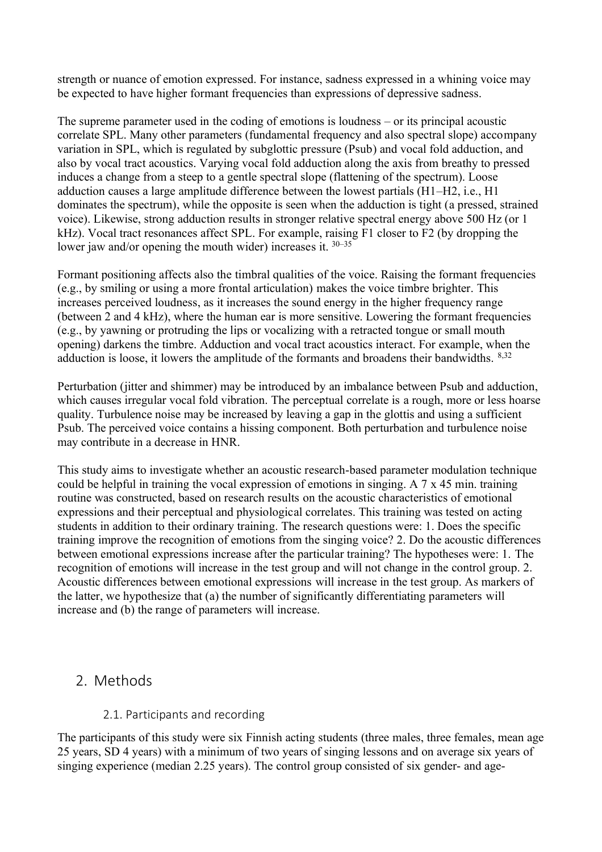strength or nuance of emotion expressed. For instance, sadness expressed in a whining voice may be expected to have higher formant frequencies than expressions of depressive sadness.

The supreme parameter used in the coding of emotions is loudness – or its principal acoustic correlate SPL. Many other parameters (fundamental frequency and also spectral slope) accompany variation in SPL, which is regulated by subglottic pressure (Psub) and vocal fold adduction, and also by vocal tract acoustics. Varying vocal fold adduction along the axis from breathy to pressed induces a change from a steep to a gentle spectral slope (flattening of the spectrum). Loose adduction causes a large amplitude difference between the lowest partials (H1–H2, i.e., H1 dominates the spectrum), while the opposite is seen when the adduction is tight (a pressed, strained voice). Likewise, strong adduction results in stronger relative spectral energy above 500 Hz (or 1 kHz). Vocal tract resonances affect SPL. For example, raising F1 closer to F2 (by dropping the lower jaw and/or opening the mouth wider) increases it.  $30-35$ 

Formant positioning affects also the timbral qualities of the voice. Raising the formant frequencies (e.g., by smiling or using a more frontal articulation) makes the voice timbre brighter. This increases perceived loudness, as it increases the sound energy in the higher frequency range (between 2 and 4 kHz), where the human ear is more sensitive. Lowering the formant frequencies (e.g., by yawning or protruding the lips or vocalizing with a retracted tongue or small mouth opening) darkens the timbre. Adduction and vocal tract acoustics interact. For example, when the adduction is loose, it lowers the amplitude of the formants and broadens their bandwidths. 8,32

Perturbation (jitter and shimmer) may be introduced by an imbalance between Psub and adduction, which causes irregular vocal fold vibration. The perceptual correlate is a rough, more or less hoarse quality. Turbulence noise may be increased by leaving a gap in the glottis and using a sufficient Psub. The perceived voice contains a hissing component. Both perturbation and turbulence noise may contribute in a decrease in HNR.

This study aims to investigate whether an acoustic research-based parameter modulation technique could be helpful in training the vocal expression of emotions in singing. A 7 x 45 min. training routine was constructed, based on research results on the acoustic characteristics of emotional expressions and their perceptual and physiological correlates. This training was tested on acting students in addition to their ordinary training. The research questions were: 1. Does the specific training improve the recognition of emotions from the singing voice? 2. Do the acoustic differences between emotional expressions increase after the particular training? The hypotheses were: 1. The recognition of emotions will increase in the test group and will not change in the control group. 2. Acoustic differences between emotional expressions will increase in the test group. As markers of the latter, we hypothesize that (a) the number of significantly differentiating parameters will increase and (b) the range of parameters will increase.

### 2. Methods

#### 2.1. Participants and recording

The participants of this study were six Finnish acting students (three males, three females, mean age 25 years, SD 4 years) with a minimum of two years of singing lessons and on average six years of singing experience (median 2.25 years). The control group consisted of six gender- and age-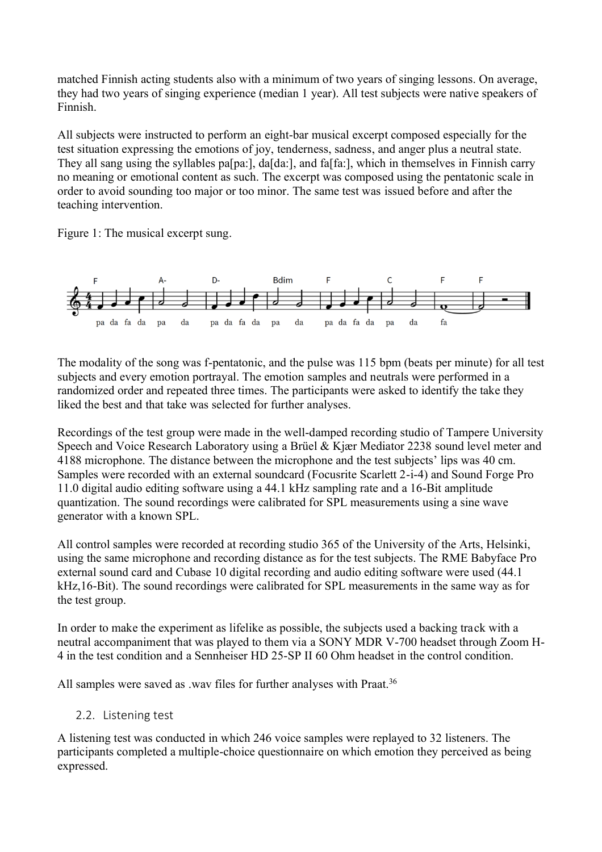matched Finnish acting students also with a minimum of two years of singing lessons. On average, they had two years of singing experience (median 1 year). All test subjects were native speakers of Finnish.

All subjects were instructed to perform an eight-bar musical excerpt composed especially for the test situation expressing the emotions of joy, tenderness, sadness, and anger plus a neutral state. They all sang using the syllables pa[pa:], da[da:], and fa[fa:], which in themselves in Finnish carry no meaning or emotional content as such. The excerpt was composed using the pentatonic scale in order to avoid sounding too major or too minor. The same test was issued before and after the teaching intervention.

Figure 1: The musical excerpt sung.



The modality of the song was f-pentatonic, and the pulse was 115 bpm (beats per minute) for all test subjects and every emotion portrayal. The emotion samples and neutrals were performed in a randomized order and repeated three times. The participants were asked to identify the take they liked the best and that take was selected for further analyses.

Recordings of the test group were made in the well-damped recording studio of Tampere University Speech and Voice Research Laboratory using a Brüel & Kjær Mediator 2238 sound level meter and 4188 microphone. The distance between the microphone and the test subjects' lips was 40 cm. Samples were recorded with an external soundcard (Focusrite Scarlett 2-i-4) and Sound Forge Pro 11.0 digital audio editing software using a 44.1 kHz sampling rate and a 16-Bit amplitude quantization. The sound recordings were calibrated for SPL measurements using a sine wave generator with a known SPL.

All control samples were recorded at recording studio 365 of the University of the Arts, Helsinki, using the same microphone and recording distance as for the test subjects. The RME Babyface Pro external sound card and Cubase 10 digital recording and audio editing software were used (44.1 kHz,16-Bit). The sound recordings were calibrated for SPL measurements in the same way as for the test group.

In order to make the experiment as lifelike as possible, the subjects used a backing track with a neutral accompaniment that was played to them via a SONY MDR V-700 headset through Zoom H-4 in the test condition and a Sennheiser HD 25-SP II 60 Ohm headset in the control condition.

All samples were saved as .wav files for further analyses with Praat.<sup>36</sup>

#### 2.2. Listening test

A listening test was conducted in which 246 voice samples were replayed to 32 listeners. The participants completed a multiple-choice questionnaire on which emotion they perceived as being expressed.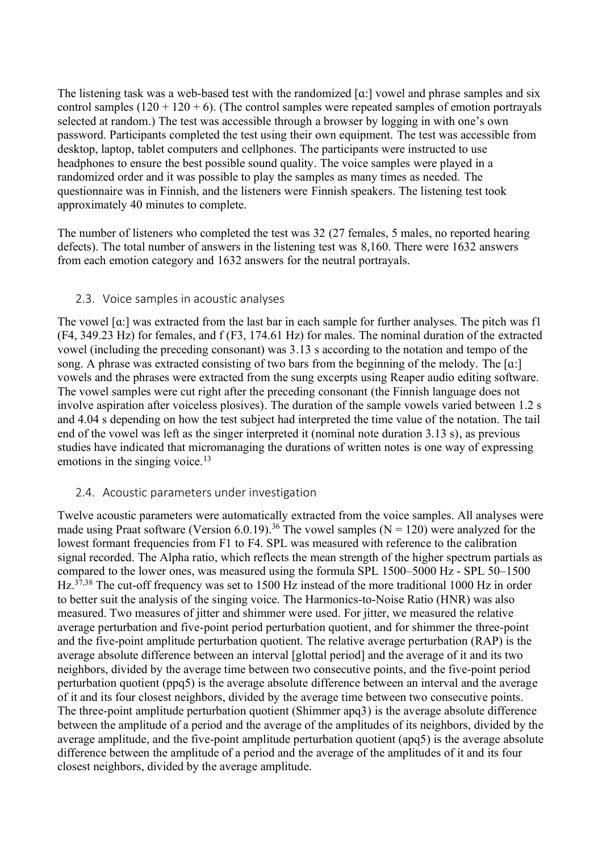The listening task was a web-based test with the randomized [ɑ:] vowel and phrase samples and six control samples  $(120 + 120 + 6)$ . (The control samples were repeated samples of emotion portravals selected at random.) The test was accessible through a browser by logging in with one's own password. Participants completed the test using their own equipment. The test was accessible from desktop, laptop, tablet computers and cellphones. The participants were instructed to use headphones to ensure the best possible sound quality. The voice samples were played in a randomized order and it was possible to play the samples as many times as needed. The questionnaire was in Finnish, and the listeners were Finnish speakers. The listening test took approximately 40 minutes to complete.

The number of listeners who completed the test was 32 (27 females, 5 males, no reported hearing defects). The total number of answers in the listening test was 8,160. There were 1632 answers from each emotion category and 1632 answers for the neutral portrayals.

#### 2.3. Voice samples in acoustic analyses

The vowel [ɑ:] was extracted from the last bar in each sample for further analyses. The pitch was f1 (F4, 349.23 Hz) for females, and f (F3, 174.61 Hz) for males. The nominal duration of the extracted vowel (including the preceding consonant) was 3.13 s according to the notation and tempo of the song. A phrase was extracted consisting of two bars from the beginning of the melody. The [ɑ:] vowels and the phrases were extracted from the sung excerpts using Reaper audio editing software. The vowel samples were cut right after the preceding consonant (the Finnish language does not involve aspiration after voiceless plosives). The duration of the sample vowels varied between 1.2 s and 4.04 s depending on how the test subject had interpreted the time value of the notation. The tail end of the vowel was left as the singer interpreted it (nominal note duration 3.13 s), as previous studies have indicated that micromanaging the durations of written notes is one way of expressing emotions in the singing voice.<sup>13</sup>

#### 2.4. Acoustic parameters under investigation

Twelve acoustic parameters were automatically extracted from the voice samples. All analyses were made using Praat software (Version 6.0.19).<sup>36</sup> The vowel samples ( $N = 120$ ) were analyzed for the lowest formant frequencies from F1 to F4. SPL was measured with reference to the calibration signal recorded. The Alpha ratio, which reflects the mean strength of the higher spectrum partials as compared to the lower ones, was measured using the formula SPL 1500–5000 Hz - SPL 50–1500 Hz.<sup>37,38</sup> The cut-off frequency was set to 1500 Hz instead of the more traditional 1000 Hz in order to better suit the analysis of the singing voice. The Harmonics-to-Noise Ratio (HNR) was also measured. Two measures of jitter and shimmer were used. For jitter, we measured the relative average perturbation and five-point period perturbation quotient, and for shimmer the three-point and the five-point amplitude perturbation quotient. The relative average perturbation (RAP) is the average absolute difference between an interval [glottal period] and the average of it and its two neighbors, divided by the average time between two consecutive points, and the five-point period perturbation quotient (ppq5) is the average absolute difference between an interval and the average of it and its four closest neighbors, divided by the average time between two consecutive points. The three-point amplitude perturbation quotient (Shimmer apq3) is the average absolute difference between the amplitude of a period and the average of the amplitudes of its neighbors, divided by the average amplitude, and the five-point amplitude perturbation quotient (apq5) is the average absolute difference between the amplitude of a period and the average of the amplitudes of it and its four closest neighbors, divided by the average amplitude.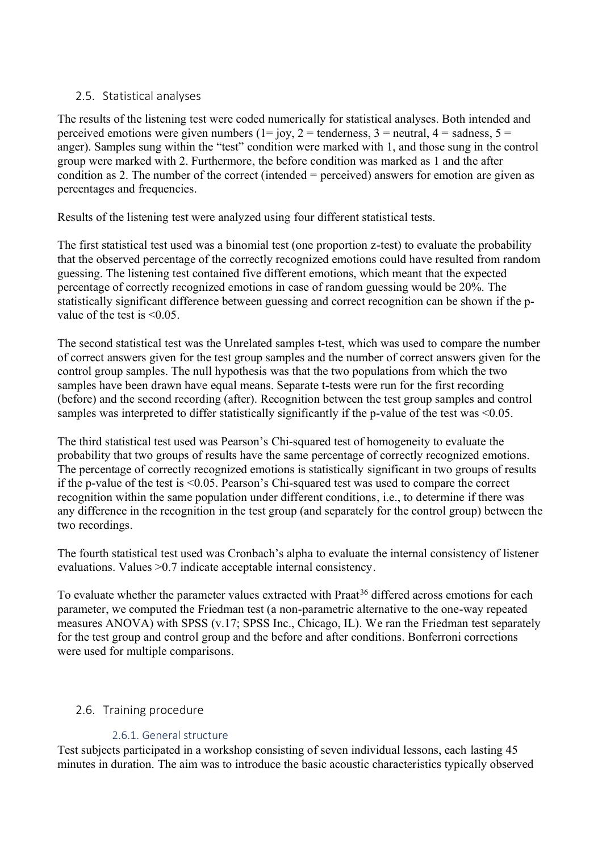#### 2.5. Statistical analyses

The results of the listening test were coded numerically for statistical analyses. Both intended and perceived emotions were given numbers ( $1 = joy$ ,  $2 = t$ enderness,  $3 = n$ eutral,  $4 =$  sadness,  $5 =$ anger). Samples sung within the "test" condition were marked with 1, and those sung in the control group were marked with 2. Furthermore, the before condition was marked as 1 and the after condition as 2. The number of the correct (intended = perceived) answers for emotion are given as percentages and frequencies.

Results of the listening test were analyzed using four different statistical tests.

The first statistical test used was a binomial test (one proportion z-test) to evaluate the probability that the observed percentage of the correctly recognized emotions could have resulted from random guessing. The listening test contained five different emotions, which meant that the expected percentage of correctly recognized emotions in case of random guessing would be 20%. The statistically significant difference between guessing and correct recognition can be shown if the pvalue of the test is  $\leq 0.05$ .

The second statistical test was the Unrelated samples t-test, which was used to compare the number of correct answers given for the test group samples and the number of correct answers given for the control group samples. The null hypothesis was that the two populations from which the two samples have been drawn have equal means. Separate t-tests were run for the first recording (before) and the second recording (after). Recognition between the test group samples and control samples was interpreted to differ statistically significantly if the p-value of the test was <0.05.

The third statistical test used was Pearson's Chi-squared test of homogeneity to evaluate the probability that two groups of results have the same percentage of correctly recognized emotions. The percentage of correctly recognized emotions is statistically significant in two groups of results if the p-value of the test is <0.05. Pearson's Chi-squared test was used to compare the correct recognition within the same population under different conditions, i.e., to determine if there was any difference in the recognition in the test group (and separately for the control group) between the two recordings.

The fourth statistical test used was Cronbach's alpha to evaluate the internal consistency of listener evaluations. Values >0.7 indicate acceptable internal consistency.

To evaluate whether the parameter values extracted with Praat<sup>36</sup> differed across emotions for each parameter, we computed the Friedman test (a non-parametric alternative to the one-way repeated measures ANOVA) with SPSS (v.17; SPSS Inc., Chicago, IL). We ran the Friedman test separately for the test group and control group and the before and after conditions. Bonferroni corrections were used for multiple comparisons.

#### 2.6. Training procedure

#### 2.6.1. General structure

Test subjects participated in a workshop consisting of seven individual lessons, each lasting 45 minutes in duration. The aim was to introduce the basic acoustic characteristics typically observed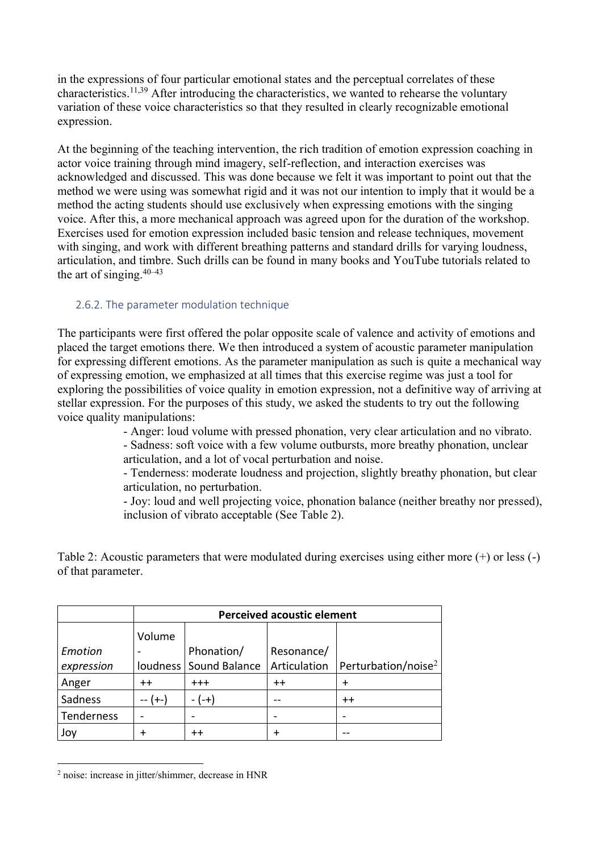in the expressions of four particular emotional states and the perceptual correlates of these characteristics.<sup>11,39</sup> After introducing the characteristics, we wanted to rehearse the voluntary variation of these voice characteristics so that they resulted in clearly recognizable emotional expression.

At the beginning of the teaching intervention, the rich tradition of emotion expression coaching in actor voice training through mind imagery, self-reflection, and interaction exercises was acknowledged and discussed. This was done because we felt it was important to point out that the method we were using was somewhat rigid and it was not our intention to imply that it would be a method the acting students should use exclusively when expressing emotions with the singing voice. After this, a more mechanical approach was agreed upon for the duration of the workshop. Exercises used for emotion expression included basic tension and release techniques, movement with singing, and work with different breathing patterns and standard drills for varying loudness, articulation, and timbre. Such drills can be found in many books and YouTube tutorials related to the art of singing.  $40-43$ 

#### 2.6.2. The parameter modulation technique

The participants were first offered the polar opposite scale of valence and activity of emotions and placed the target emotions there. We then introduced a system of acoustic parameter manipulation for expressing different emotions. As the parameter manipulation as such is quite a mechanical way of expressing emotion, we emphasized at all times that this exercise regime was just a tool for exploring the possibilities of voice quality in emotion expression, not a definitive way of arriving at stellar expression. For the purposes of this study, we asked the students to try out the following voice quality manipulations:

> - Anger: loud volume with pressed phonation, very clear articulation and no vibrato. - Sadness: soft voice with a few volume outbursts, more breathy phonation, unclear

articulation, and a lot of vocal perturbation and noise.

- Tenderness: moderate loudness and projection, slightly breathy phonation, but clear articulation, no perturbation.

- Joy: loud and well projecting voice, phonation balance (neither breathy nor pressed), inclusion of vibrato acceptable (See Table 2).

Table 2: Acoustic parameters that were modulated during exercises using either more (+) or less (-) of that parameter.

|                       | <b>Perceived acoustic element</b> |                                        |                            |                        |  |  |  |  |
|-----------------------|-----------------------------------|----------------------------------------|----------------------------|------------------------|--|--|--|--|
| Emotion<br>expression | Volume                            | Phonation/<br>loudness   Sound Balance | Resonance/<br>Articulation | Perturbation/noise $2$ |  |  |  |  |
| Anger                 | $++$                              | $+++$                                  | $++$                       | ٠                      |  |  |  |  |
| Sadness               | $+ - 1$                           |                                        |                            | $^{\mathrm{+}}$        |  |  |  |  |
| Tenderness            |                                   |                                        |                            |                        |  |  |  |  |
| Joy                   |                                   |                                        |                            |                        |  |  |  |  |

<sup>2</sup> noise: increase in jitter/shimmer, decrease in HNR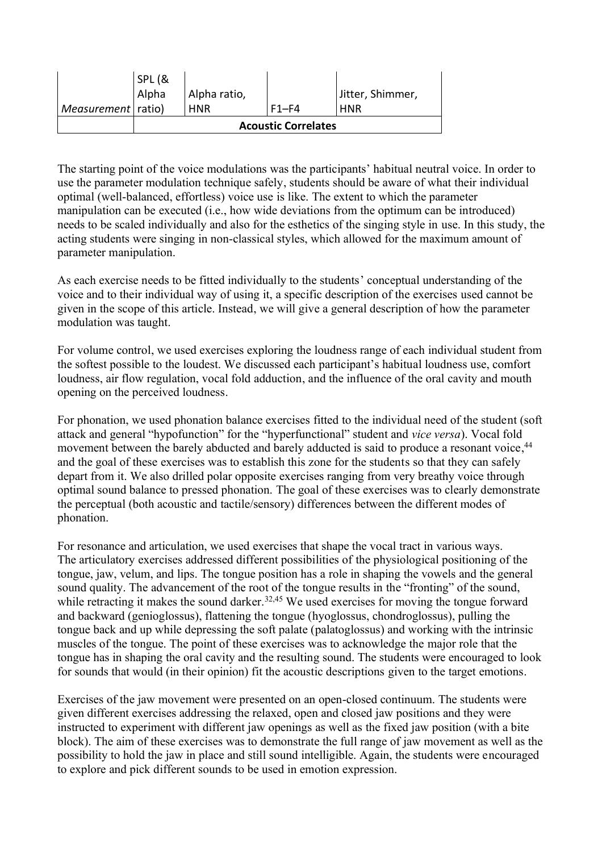| <i>Measurement</i> ratio) |                            | <b>HNR</b>   | <b>F1-F4</b><br><b>Acoustic Correlates</b> | <b>HNR</b>       |
|---------------------------|----------------------------|--------------|--------------------------------------------|------------------|
|                           | <b>SPL (&amp;</b><br>Alpha | Alpha ratio, |                                            | Jitter, Shimmer, |

The starting point of the voice modulations was the participants' habitual neutral voice. In order to use the parameter modulation technique safely, students should be aware of what their individual optimal (well-balanced, effortless) voice use is like. The extent to which the parameter manipulation can be executed (i.e., how wide deviations from the optimum can be introduced) needs to be scaled individually and also for the esthetics of the singing style in use. In this study, the acting students were singing in non-classical styles, which allowed for the maximum amount of parameter manipulation.

As each exercise needs to be fitted individually to the students' conceptual understanding of the voice and to their individual way of using it, a specific description of the exercises used cannot be given in the scope of this article. Instead, we will give a general description of how the parameter modulation was taught.

For volume control, we used exercises exploring the loudness range of each individual student from the softest possible to the loudest. We discussed each participant's habitual loudness use, comfort loudness, air flow regulation, vocal fold adduction, and the influence of the oral cavity and mouth opening on the perceived loudness.

For phonation, we used phonation balance exercises fitted to the individual need of the student (soft attack and general "hypofunction" for the "hyperfunctional" student and *vice versa*). Vocal fold movement between the barely abducted and barely adducted is said to produce a resonant voice, <sup>44</sup> and the goal of these exercises was to establish this zone for the students so that they can safely depart from it. We also drilled polar opposite exercises ranging from very breathy voice through optimal sound balance to pressed phonation. The goal of these exercises was to clearly demonstrate the perceptual (both acoustic and tactile/sensory) differences between the different modes of phonation.

For resonance and articulation, we used exercises that shape the vocal tract in various ways. The articulatory exercises addressed different possibilities of the physiological positioning of the tongue, jaw, velum, and lips. The tongue position has a role in shaping the vowels and the general sound quality. The advancement of the root of the tongue results in the "fronting" of the sound, while retracting it makes the sound darker.<sup>32,45</sup> We used exercises for moving the tongue forward and backward (genioglossus), flattening the tongue (hyoglossus, chondroglossus), pulling the tongue back and up while depressing the soft palate (palatoglossus) and working with the intrinsic muscles of the tongue. The point of these exercises was to acknowledge the major role that the tongue has in shaping the oral cavity and the resulting sound. The students were encouraged to look for sounds that would (in their opinion) fit the acoustic descriptions given to the target emotions.

Exercises of the jaw movement were presented on an open-closed continuum. The students were given different exercises addressing the relaxed, open and closed jaw positions and they were instructed to experiment with different jaw openings as well as the fixed jaw position (with a bite block). The aim of these exercises was to demonstrate the full range of jaw movement as well as the possibility to hold the jaw in place and still sound intelligible. Again, the students were encouraged to explore and pick different sounds to be used in emotion expression.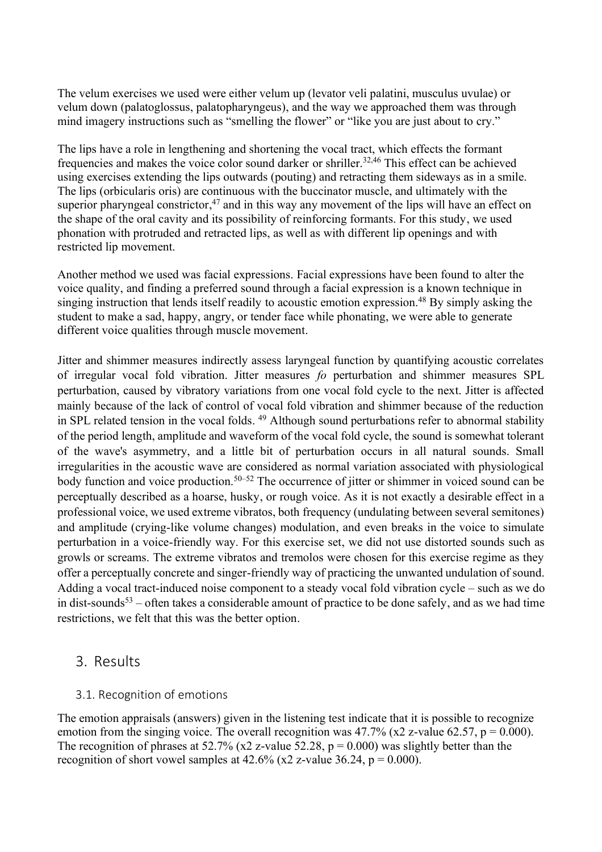The velum exercises we used were either velum up (levator veli palatini, musculus uvulae) or velum down (palatoglossus, palatopharyngeus), and the way we approached them was through mind imagery instructions such as "smelling the flower" or "like you are just about to cry."

The lips have a role in lengthening and shortening the vocal tract, which effects the formant frequencies and makes the voice color sound darker or shriller.32,46 This effect can be achieved using exercises extending the lips outwards (pouting) and retracting them sideways as in a smile. The lips (orbicularis oris) are continuous with the buccinator muscle, and ultimately with the superior pharyngeal constrictor,<sup>47</sup> and in this way any movement of the lips will have an effect on the shape of the oral cavity and its possibility of reinforcing formants. For this study, we used phonation with protruded and retracted lips, as well as with different lip openings and with restricted lip movement.

Another method we used was facial expressions. Facial expressions have been found to alter the voice quality, and finding a preferred sound through a facial expression is a known technique in singing instruction that lends itself readily to acoustic emotion expression.<sup>48</sup> By simply asking the student to make a sad, happy, angry, or tender face while phonating, we were able to generate different voice qualities through muscle movement.

Jitter and shimmer measures indirectly assess laryngeal function by quantifying acoustic correlates of irregular vocal fold vibration. Jitter measures *fo* perturbation and shimmer measures SPL perturbation, caused by vibratory variations from one vocal fold cycle to the next. Jitter is affected mainly because of the lack of control of vocal fold vibration and shimmer because of the reduction in SPL related tension in the vocal folds. <sup>49</sup> Although sound perturbations refer to abnormal stability of the period length, amplitude and waveform of the vocal fold cycle, the sound is somewhat tolerant of the wave's asymmetry, and a little bit of perturbation occurs in all natural sounds. Small irregularities in the acoustic wave are considered as normal variation associated with physiological body function and voice production.<sup>50–52</sup> The occurrence of jitter or shimmer in voiced sound can be perceptually described as a hoarse, husky, or rough voice. As it is not exactly a desirable effect in a professional voice, we used extreme vibratos, both frequency (undulating between several semitones) and amplitude (crying-like volume changes) modulation, and even breaks in the voice to simulate perturbation in a voice-friendly way. For this exercise set, we did not use distorted sounds such as growls or screams. The extreme vibratos and tremolos were chosen for this exercise regime as they offer a perceptually concrete and singer-friendly way of practicing the unwanted undulation of sound. Adding a vocal tract-induced noise component to a steady vocal fold vibration cycle – such as we do in dist-sounds<sup>53</sup> – often takes a considerable amount of practice to be done safely, and as we had time restrictions, we felt that this was the better option.

#### 3. Results

#### 3.1. Recognition of emotions

The emotion appraisals (answers) given in the listening test indicate that it is possible to recognize emotion from the singing voice. The overall recognition was  $47.7\%$  (x2 z-value 62.57, p = 0.000). The recognition of phrases at 52.7% (x2 z-value 52.28,  $p = 0.000$ ) was slightly better than the recognition of short vowel samples at  $42.6\%$  (x2 z-value 36.24, p = 0.000).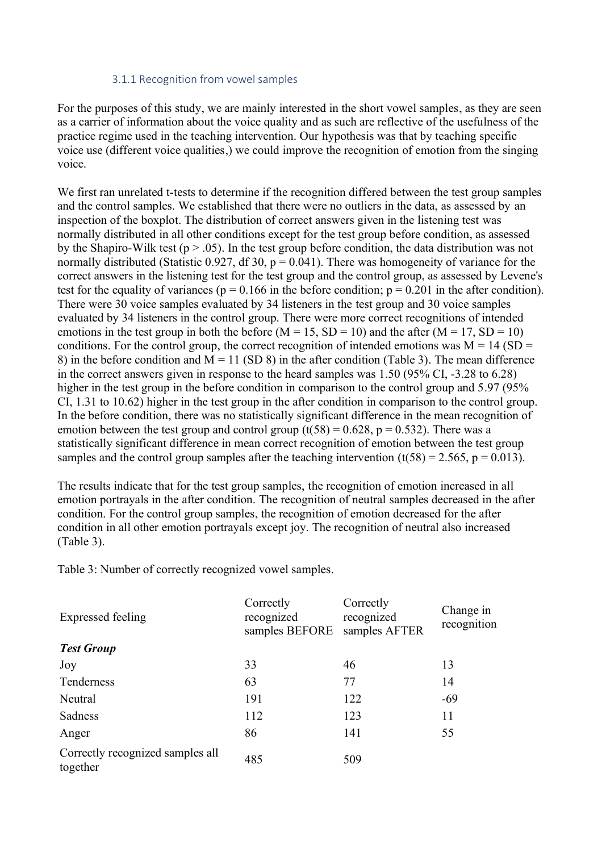#### 3.1.1 Recognition from vowel samples

For the purposes of this study, we are mainly interested in the short vowel samples, as they are seen as a carrier of information about the voice quality and as such are reflective of the usefulness of the practice regime used in the teaching intervention. Our hypothesis was that by teaching specific voice use (different voice qualities,) we could improve the recognition of emotion from the singing voice.

We first ran unrelated t-tests to determine if the recognition differed between the test group samples and the control samples. We established that there were no outliers in the data, as assessed by an inspection of the boxplot. The distribution of correct answers given in the listening test was normally distributed in all other conditions except for the test group before condition, as assessed by the Shapiro-Wilk test ( $p > .05$ ). In the test group before condition, the data distribution was not normally distributed (Statistic 0.927, df 30,  $p = 0.041$ ). There was homogeneity of variance for the correct answers in the listening test for the test group and the control group, as assessed by Levene's test for the equality of variances ( $p = 0.166$  in the before condition;  $p = 0.201$  in the after condition). There were 30 voice samples evaluated by 34 listeners in the test group and 30 voice samples evaluated by 34 listeners in the control group. There were more correct recognitions of intended emotions in the test group in both the before  $(M = 15, SD = 10)$  and the after  $(M = 17, SD = 10)$ conditions. For the control group, the correct recognition of intended emotions was  $M = 14$  (SD = 8) in the before condition and  $M = 11$  (SD 8) in the after condition (Table 3). The mean difference in the correct answers given in response to the heard samples was 1.50 (95% CI, -3.28 to 6.28) higher in the test group in the before condition in comparison to the control group and 5.97 (95%) CI, 1.31 to 10.62) higher in the test group in the after condition in comparison to the control group. In the before condition, there was no statistically significant difference in the mean recognition of emotion between the test group and control group  $(t(58) = 0.628, p = 0.532)$ . There was a statistically significant difference in mean correct recognition of emotion between the test group samples and the control group samples after the teaching intervention  $(t(58) = 2.565, p = 0.013)$ .

The results indicate that for the test group samples, the recognition of emotion increased in all emotion portrayals in the after condition. The recognition of neutral samples decreased in the after condition. For the control group samples, the recognition of emotion decreased for the after condition in all other emotion portrayals except joy. The recognition of neutral also increased (Table 3).

Table 3: Number of correctly recognized vowel samples.

| Expressed feeling                            | Correctly<br>recognized<br>samples BEFORE | Correctly<br>recognized<br>samples AFTER | Change in<br>recognition |
|----------------------------------------------|-------------------------------------------|------------------------------------------|--------------------------|
| <b>Test Group</b>                            |                                           |                                          |                          |
| Joy                                          | 33                                        | 46                                       | 13                       |
| Tenderness                                   | 63                                        | 77                                       | 14                       |
| Neutral                                      | 191                                       | 122                                      | $-69$                    |
| Sadness                                      | 112                                       | 123                                      | 11                       |
| Anger                                        | 86                                        | 141                                      | 55                       |
| Correctly recognized samples all<br>together | 485                                       | 509                                      |                          |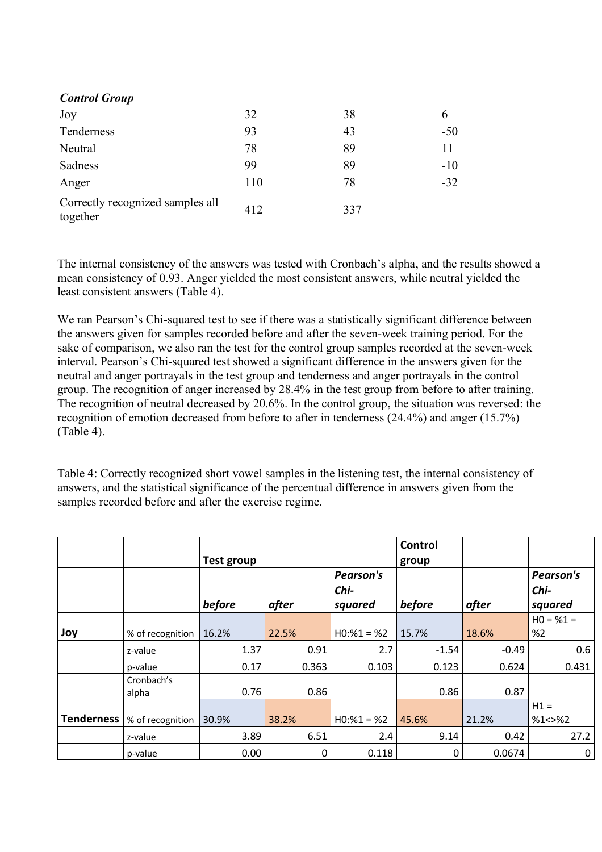#### *Control Group*

| Joy                                          | 32  | 38  | O     |
|----------------------------------------------|-----|-----|-------|
| Tenderness                                   | 93  | 43  | $-50$ |
| Neutral                                      | 78  | 89  | 11    |
| Sadness                                      | 99  | 89  | $-10$ |
| Anger                                        | 110 | 78  | $-32$ |
| Correctly recognized samples all<br>together | 412 | 337 |       |

The internal consistency of the answers was tested with Cronbach's alpha, and the results showed a mean consistency of 0.93. Anger yielded the most consistent answers, while neutral yielded the least consistent answers (Table 4).

We ran Pearson's Chi-squared test to see if there was a statistically significant difference between the answers given for samples recorded before and after the seven-week training period. For the sake of comparison, we also ran the test for the control group samples recorded at the seven-week interval. Pearson's Chi-squared test showed a significant difference in the answers given for the neutral and anger portrayals in the test group and tenderness and anger portrayals in the control group. The recognition of anger increased by 28.4% in the test group from before to after training. The recognition of neutral decreased by 20.6%. In the control group, the situation was reversed: the recognition of emotion decreased from before to after in tenderness (24.4%) and anger (15.7%) (Table 4).

Table 4: Correctly recognized short vowel samples in the listening test, the internal consistency of answers, and the statistical significance of the percentual difference in answers given from the samples recorded before and after the exercise regime.

|                   |                     |                             |       |                                | Control         |         |                                       |
|-------------------|---------------------|-----------------------------|-------|--------------------------------|-----------------|---------|---------------------------------------|
|                   |                     | <b>Test group</b><br>before | after | Pearson's<br>$Chi-$<br>squared | group<br>before | after   | <b>Pearson's</b><br>$Chi-$<br>squared |
| Joy               | % of recognition    | 16.2%                       | 22.5% | $H0:%1 = %2$                   | 15.7%           | 18.6%   | $HO = %1 =$<br>%2                     |
|                   | z-value             | 1.37                        | 0.91  | 2.7                            | $-1.54$         | $-0.49$ | 0.6                                   |
|                   | p-value             | 0.17                        | 0.363 | 0.103                          | 0.123           | 0.624   | 0.431                                 |
|                   | Cronbach's<br>alpha | 0.76                        | 0.86  |                                | 0.86            | 0.87    |                                       |
| <b>Tenderness</b> | % of recognition    | 30.9%                       | 38.2% | $H0:%1 = %2$                   | 45.6%           | 21.2%   | $H1 =$<br>$%1 < > \%2$                |
|                   | z-value             | 3.89                        | 6.51  | 2.4                            | 9.14            | 0.42    | 27.2                                  |
|                   | p-value             | 0.00                        | 0     | 0.118                          | 0               | 0.0674  | 0                                     |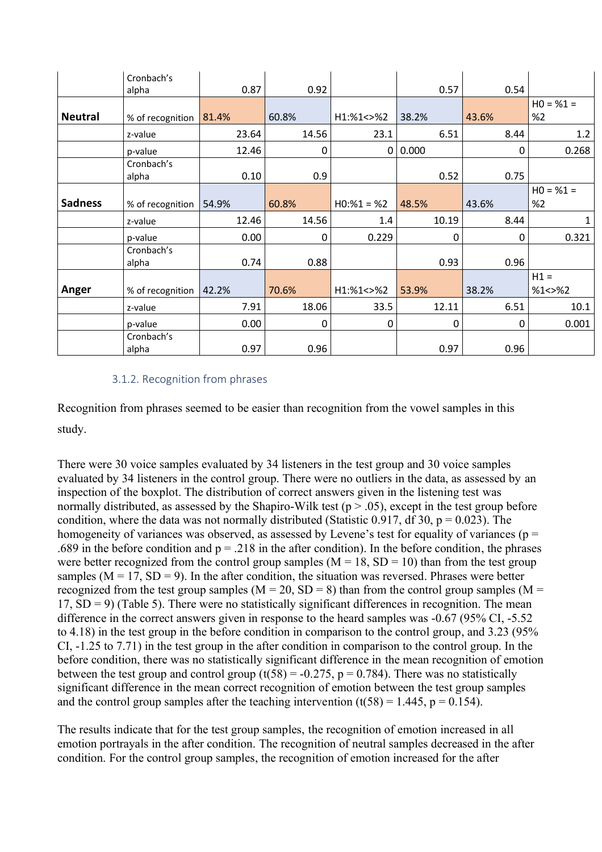|                | Cronbach's          |       |       |              |       |       |              |
|----------------|---------------------|-------|-------|--------------|-------|-------|--------------|
|                | alpha               | 0.87  | 0.92  |              | 0.57  | 0.54  |              |
|                |                     |       |       |              |       |       | $HO = %1 =$  |
| <b>Neutral</b> | % of recognition    | 81.4% | 60.8% | H1:%1 < >%2  | 38.2% | 43.6% | %2           |
|                | z-value             | 23.64 | 14.56 | 23.1         | 6.51  | 8.44  | 1.2          |
|                | p-value             | 12.46 | 0     | 0            | 0.000 | 0     | 0.268        |
|                | Cronbach's<br>alpha | 0.10  | 0.9   |              | 0.52  | 0.75  |              |
|                |                     |       |       |              |       |       | $HO = %1 =$  |
| <b>Sadness</b> | % of recognition    | 54.9% | 60.8% | $H0:%1 = %2$ | 48.5% | 43.6% | %2           |
|                | z-value             | 12.46 | 14.56 | 1.4          | 10.19 | 8.44  | $\mathbf{1}$ |
|                | p-value             | 0.00  | 0     | 0.229        | 0     | 0     | 0.321        |
|                | Cronbach's<br>alpha | 0.74  | 0.88  |              | 0.93  | 0.96  |              |
|                |                     |       |       |              |       |       | $H1 =$       |
| Anger          | % of recognition    | 42.2% | 70.6% | H1:%1<>%2    | 53.9% | 38.2% | $%1 < > \%2$ |
|                | z-value             | 7.91  | 18.06 | 33.5         | 12.11 | 6.51  | 10.1         |
|                | p-value             | 0.00  | 0     | 0            | 0     | 0     | 0.001        |
|                | Cronbach's<br>alpha | 0.97  | 0.96  |              | 0.97  | 0.96  |              |

#### 3.1.2. Recognition from phrases

Recognition from phrases seemed to be easier than recognition from the vowel samples in this study.

There were 30 voice samples evaluated by 34 listeners in the test group and 30 voice samples evaluated by 34 listeners in the control group. There were no outliers in the data, as assessed by an inspection of the boxplot. The distribution of correct answers given in the listening test was normally distributed, as assessed by the Shapiro-Wilk test ( $p > .05$ ), except in the test group before condition, where the data was not normally distributed (Statistic 0.917, df 30,  $p = 0.023$ ). The homogeneity of variances was observed, as assessed by Levene's test for equality of variances ( $p =$ .689 in the before condition and  $p = .218$  in the after condition). In the before condition, the phrases were better recognized from the control group samples ( $M = 18$ ,  $SD = 10$ ) than from the test group samples ( $M = 17$ ,  $SD = 9$ ). In the after condition, the situation was reversed. Phrases were better recognized from the test group samples ( $M = 20$ ,  $SD = 8$ ) than from the control group samples ( $M =$  $17. SD = 9$ ) (Table 5). There were no statistically significant differences in recognition. The mean difference in the correct answers given in response to the heard samples was -0.67 (95% CI, -5.52 to 4.18) in the test group in the before condition in comparison to the control group, and 3.23 (95% CI, -1.25 to 7.71) in the test group in the after condition in comparison to the control group. In the before condition, there was no statistically significant difference in the mean recognition of emotion between the test group and control group (t(58) = -0.275, p = 0.784). There was no statistically significant difference in the mean correct recognition of emotion between the test group samples and the control group samples after the teaching intervention  $(t(58) = 1.445, p = 0.154)$ .

The results indicate that for the test group samples, the recognition of emotion increased in all emotion portrayals in the after condition. The recognition of neutral samples decreased in the after condition. For the control group samples, the recognition of emotion increased for the after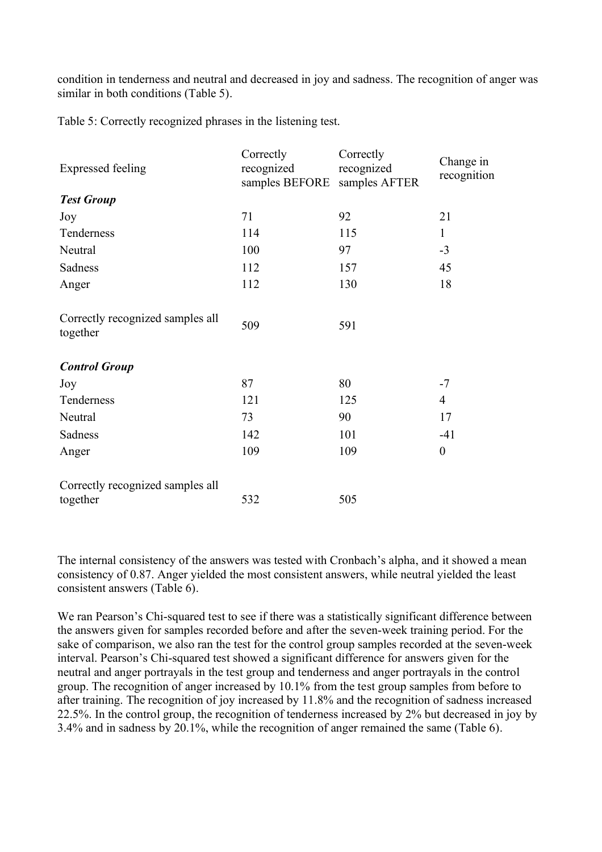condition in tenderness and neutral and decreased in joy and sadness. The recognition of anger was similar in both conditions (Table 5).

Table 5: Correctly recognized phrases in the listening test.

| <b>Expressed feeling</b>                     | Correctly<br>recognized<br>samples BEFORE | Correctly<br>recognized<br>samples AFTER | Change in<br>recognition |
|----------------------------------------------|-------------------------------------------|------------------------------------------|--------------------------|
| <b>Test Group</b>                            |                                           |                                          |                          |
| Joy                                          | 71                                        | 92                                       | 21                       |
| Tenderness                                   | 114                                       | 115                                      | 1                        |
| Neutral                                      | 100                                       | 97                                       | $-3$                     |
| Sadness                                      | 112                                       | 157                                      | 45                       |
| Anger                                        | 112                                       | 130                                      | 18                       |
| Correctly recognized samples all<br>together | 509                                       | 591                                      |                          |
| <b>Control Group</b>                         |                                           |                                          |                          |
| Joy                                          | 87                                        | 80                                       | $-7$                     |
| Tenderness                                   | 121                                       | 125                                      | $\overline{4}$           |
| Neutral                                      | 73                                        | 90                                       | 17                       |
| Sadness                                      | 142                                       | 101                                      | $-41$                    |
| Anger                                        | 109                                       | 109                                      | $\theta$                 |
| Correctly recognized samples all<br>together | 532                                       | 505                                      |                          |

The internal consistency of the answers was tested with Cronbach's alpha, and it showed a mean consistency of 0.87. Anger yielded the most consistent answers, while neutral yielded the least consistent answers (Table 6).

We ran Pearson's Chi-squared test to see if there was a statistically significant difference between the answers given for samples recorded before and after the seven-week training period. For the sake of comparison, we also ran the test for the control group samples recorded at the seven-week interval. Pearson's Chi-squared test showed a significant difference for answers given for the neutral and anger portrayals in the test group and tenderness and anger portrayals in the control group. The recognition of anger increased by 10.1% from the test group samples from before to after training. The recognition of joy increased by 11.8% and the recognition of sadness increased 22.5%. In the control group, the recognition of tenderness increased by 2% but decreased in joy by 3.4% and in sadness by 20.1%, while the recognition of anger remained the same (Table 6).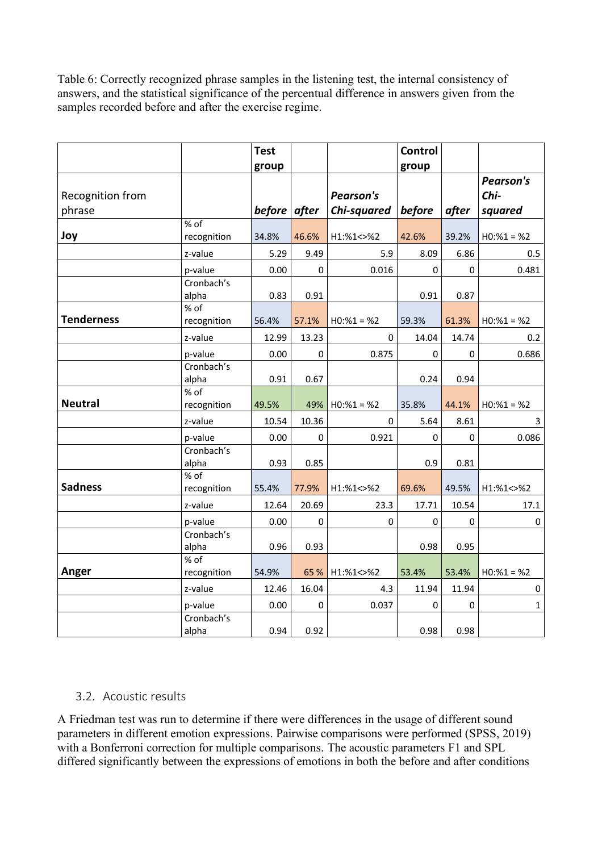Table 6: Correctly recognized phrase samples in the listening test, the internal consistency of answers, and the statistical significance of the percentual difference in answers given from the samples recorded before and after the exercise regime.

|                   |             | <b>Test</b>    |           |                  | Control   |       |                  |
|-------------------|-------------|----------------|-----------|------------------|-----------|-------|------------------|
|                   |             | group          |           |                  | group     |       |                  |
|                   |             |                |           |                  |           |       | <b>Pearson's</b> |
| Recognition from  |             |                |           | <b>Pearson's</b> |           |       | Chi-             |
| phrase            |             | before   after |           | Chi-squared      | before    | after | squared          |
|                   | % of        |                |           |                  |           |       |                  |
| Joy               | recognition | 34.8%          | 46.6%     | H1:%1<>%2        | 42.6%     | 39.2% | $H0:%1 = %2$     |
|                   | z-value     | 5.29           | 9.49      | 5.9              | 8.09      | 6.86  | 0.5              |
|                   | p-value     | 0.00           | 0         | 0.016            | 0         | 0     | 0.481            |
|                   | Cronbach's  |                |           |                  |           |       |                  |
|                   | alpha       | 0.83           | 0.91      |                  | 0.91      | 0.87  |                  |
|                   | % of        |                |           |                  |           |       |                  |
| <b>Tenderness</b> | recognition | 56.4%          | 57.1%     | $H0:%1 = %2$     | 59.3%     | 61.3% | $H0:%1 = %2$     |
|                   | z-value     | 12.99          | 13.23     | $\Omega$         | 14.04     | 14.74 | 0.2              |
|                   | p-value     | 0.00           | $\pmb{0}$ | 0.875            | $\pmb{0}$ | 0     | 0.686            |
|                   | Cronbach's  |                |           |                  |           |       |                  |
|                   | alpha       | 0.91           | 0.67      |                  | 0.24      | 0.94  |                  |
|                   | % of        |                |           |                  |           |       |                  |
| <b>Neutral</b>    | recognition | 49.5%          | 49%       | $H0:%1 = %2$     | 35.8%     | 44.1% | $H0:%1 = %2$     |
|                   | z-value     | 10.54          | 10.36     | 0                | 5.64      | 8.61  | 3                |
|                   | p-value     | 0.00           | $\pmb{0}$ | 0.921            | 0         | 0     | 0.086            |
|                   | Cronbach's  |                |           |                  |           |       |                  |
|                   | alpha       | 0.93           | 0.85      |                  | 0.9       | 0.81  |                  |
|                   | % of        |                |           |                  |           |       |                  |
| <b>Sadness</b>    | recognition | 55.4%          | 77.9%     | H1:%1<>%2        | 69.6%     | 49.5% | H1:%1<>%2        |
|                   | z-value     | 12.64          | 20.69     | 23.3             | 17.71     | 10.54 | 17.1             |
|                   | p-value     | 0.00           | 0         | 0                | 0         | 0     | 0                |
|                   | Cronbach's  |                |           |                  |           |       |                  |
|                   | alpha       | 0.96           | 0.93      |                  | 0.98      | 0.95  |                  |
|                   | % of        |                |           |                  |           |       |                  |
| Anger             | recognition | 54.9%          | 65 %      | H1:%1<>%2        | 53.4%     | 53.4% | $H0:%1 = %2$     |
|                   | z-value     | 12.46          | 16.04     | 4.3              | 11.94     | 11.94 | $\pmb{0}$        |
|                   | p-value     | 0.00           | $\pmb{0}$ | 0.037            | 0         | 0     | $\mathbf 1$      |
|                   | Cronbach's  |                |           |                  |           |       |                  |
|                   | alpha       | 0.94           | 0.92      |                  | 0.98      | 0.98  |                  |

#### 3.2. Acoustic results

A Friedman test was run to determine if there were differences in the usage of different sound parameters in different emotion expressions. Pairwise comparisons were performed (SPSS, 2019) with a Bonferroni correction for multiple comparisons. The acoustic parameters F1 and SPL differed significantly between the expressions of emotions in both the before and after conditions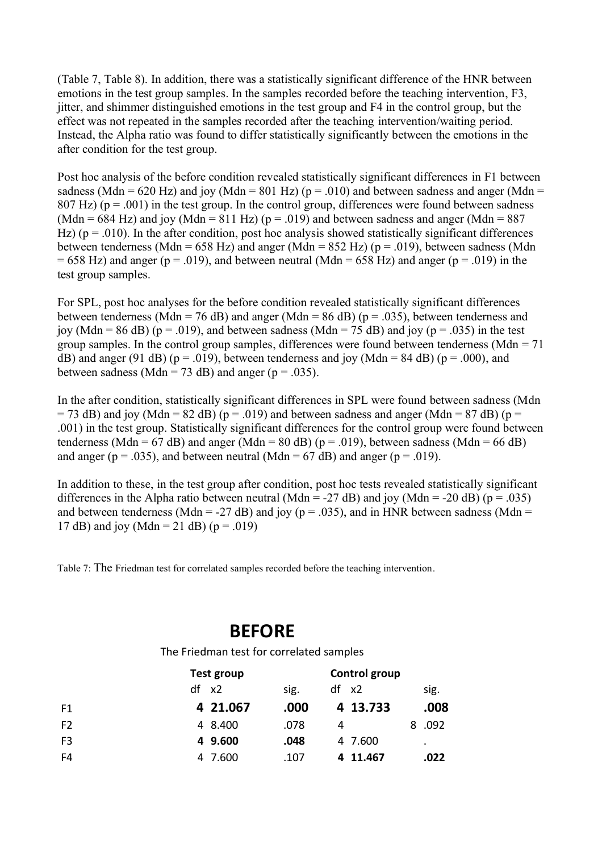(Table 7, Table 8). In addition, there was a statistically significant difference of the HNR between emotions in the test group samples. In the samples recorded before the teaching intervention, F3, jitter, and shimmer distinguished emotions in the test group and F4 in the control group, but the effect was not repeated in the samples recorded after the teaching intervention/waiting period. Instead, the Alpha ratio was found to differ statistically significantly between the emotions in the after condition for the test group.

Post hoc analysis of the before condition revealed statistically significant differences in F1 between sadness (Mdn = 620 Hz) and joy (Mdn = 801 Hz) ( $p = .010$ ) and between sadness and anger (Mdn = 807 Hz)  $(p = .001)$  in the test group. In the control group, differences were found between sadness (Mdn = 684 Hz) and joy (Mdn = 811 Hz) ( $p = .019$ ) and between sadness and anger (Mdn = 887 Hz) ( $p = .010$ ). In the after condition, post hoc analysis showed statistically significant differences between tenderness (Mdn = 658 Hz) and anger (Mdn = 852 Hz) ( $p = .019$ ), between sadness (Mdn  $= 658$  Hz) and anger (p = .019), and between neutral (Mdn = 658 Hz) and anger (p = .019) in the test group samples.

For SPL, post hoc analyses for the before condition revealed statistically significant differences between tenderness (Mdn = 76 dB) and anger (Mdn = 86 dB) ( $p = .035$ ), between tenderness and joy (Mdn = 86 dB) ( $p = .019$ ), and between sadness (Mdn = 75 dB) and joy ( $p = .035$ ) in the test group samples. In the control group samples, differences were found between tenderness (Mdn  $= 71$ ) dB) and anger (91 dB) ( $p = .019$ ), between tenderness and joy (Mdn = 84 dB) ( $p = .000$ ), and between sadness (Mdn = 73 dB) and anger ( $p = .035$ ).

In the after condition, statistically significant differences in SPL were found between sadness (Mdn  $=$  73 dB) and joy (Mdn = 82 dB) (p = .019) and between sadness and anger (Mdn = 87 dB) (p = .001) in the test group. Statistically significant differences for the control group were found between tenderness (Mdn = 67 dB) and anger (Mdn = 80 dB) ( $p = .019$ ), between sadness (Mdn = 66 dB) and anger ( $p = .035$ ), and between neutral (Mdn = 67 dB) and anger ( $p = .019$ ).

In addition to these, in the test group after condition, post hoc tests revealed statistically significant differences in the Alpha ratio between neutral (Mdn = -27 dB) and joy (Mdn = -20 dB) ( $p = .035$ ) and between tenderness (Mdn = -27 dB) and joy ( $p = .035$ ), and in HNR between sadness (Mdn = 17 dB) and joy (Mdn = 21 dB) ( $p = .019$ )

Table 7: The Friedman test for correlated samples recorded before the teaching intervention.

## **BEFORE**

The Friedman test for correlated samples

|                | Test group |      | Control group |           |
|----------------|------------|------|---------------|-----------|
|                | df<br>x2   | sig. | $df \times 2$ | sig.      |
| F1             | 4 21.067   | .000 | 4 13.733      | .008      |
| F <sub>2</sub> | 4 8.400    | .078 | 4             | .092<br>8 |
| F <sub>3</sub> | 4 9.600    | .048 | 4 7.600       |           |
| F4             | 7.600      | .107 | 4 11.467      | .022      |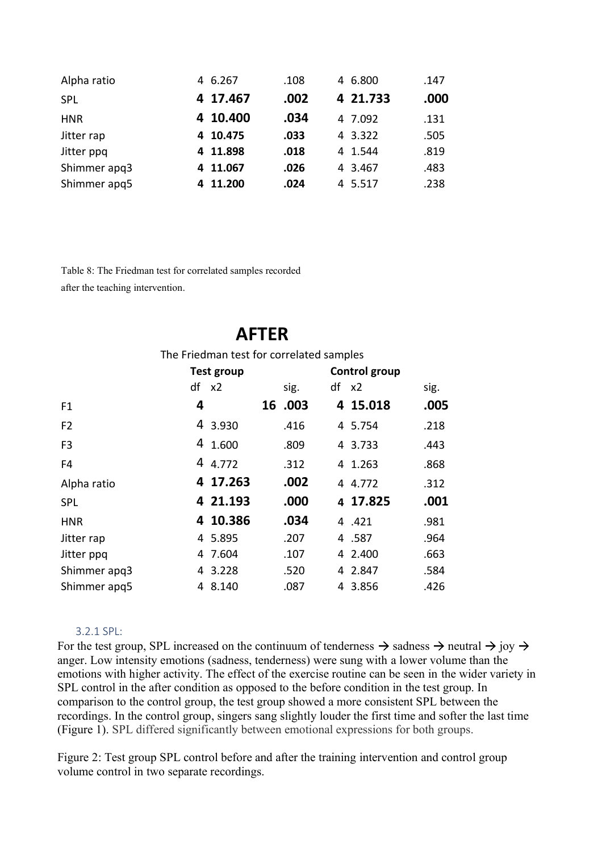| Alpha ratio  | 4 6.267  | .108 | 4 6.800  | .147 |
|--------------|----------|------|----------|------|
| <b>SPL</b>   | 4 17.467 | .002 | 4 21.733 | .000 |
| <b>HNR</b>   | 4 10.400 | .034 | 4 7.092  | .131 |
| Jitter rap   | 4 10.475 | .033 | 4 3.322  | .505 |
| Jitter ppq   | 4 11.898 | .018 | 4 1.544  | .819 |
| Shimmer apq3 | 4 11.067 | .026 | 4 3.467  | .483 |
| Shimmer apg5 | 4 11.200 | .024 | 4 5.517  | .238 |

Table 8: The Friedman test for correlated samples recorded after the teaching intervention.

|                |                                          | ┓                 | . |               |    |          |      |
|----------------|------------------------------------------|-------------------|---|---------------|----|----------|------|
|                | The Friedman test for correlated samples |                   |   |               |    |          |      |
|                |                                          | <b>Test group</b> |   | Control group |    |          |      |
|                | df                                       | x2                |   | sig.          | df | x2       | sig. |
| F <sub>1</sub> | 4                                        |                   |   | 16.003        |    | 4 15.018 | .005 |
| F <sub>2</sub> |                                          | 4 3.930           |   | .416          |    | 4 5.754  | .218 |
| F <sub>3</sub> | 4                                        | 1.600             |   | .809          |    | 4 3.733  | .443 |
| F4             |                                          | 4 4.772           |   | .312          |    | 4 1.263  | .868 |
| Alpha ratio    |                                          | 4 17.263          |   | .002          |    | 4 4.772  | .312 |
| <b>SPL</b>     |                                          | 4 21.193          |   | .000          |    | 4 17.825 | .001 |
| <b>HNR</b>     |                                          | 4 10.386          |   | .034          |    | 4.421    | .981 |
| Jitter rap     |                                          | 4 5.895           |   | .207          |    | 4.587    | .964 |
| Jitter ppq     |                                          | 4 7.604           |   | .107          |    | 4 2.400  | .663 |
| Shimmer apq3   | 4                                        | 3.228             |   | .520          |    | 4 2.847  | .584 |
| Shimmer apq5   |                                          | 4 8.140           |   | .087          |    | 4 3.856  | .426 |

## **AFTER**

#### 3.2.1 SPL:

For the test group, SPL increased on the continuum of tenderness  $\rightarrow$  sadness  $\rightarrow$  neutral  $\rightarrow$  joy  $\rightarrow$ anger. Low intensity emotions (sadness, tenderness) were sung with a lower volume than the emotions with higher activity. The effect of the exercise routine can be seen in the wider variety in SPL control in the after condition as opposed to the before condition in the test group. In comparison to the control group, the test group showed a more consistent SPL between the recordings. In the control group, singers sang slightly louder the first time and softer the last time (Figure 1). SPL differed significantly between emotional expressions for both groups.

Figure 2: Test group SPL control before and after the training intervention and control group volume control in two separate recordings.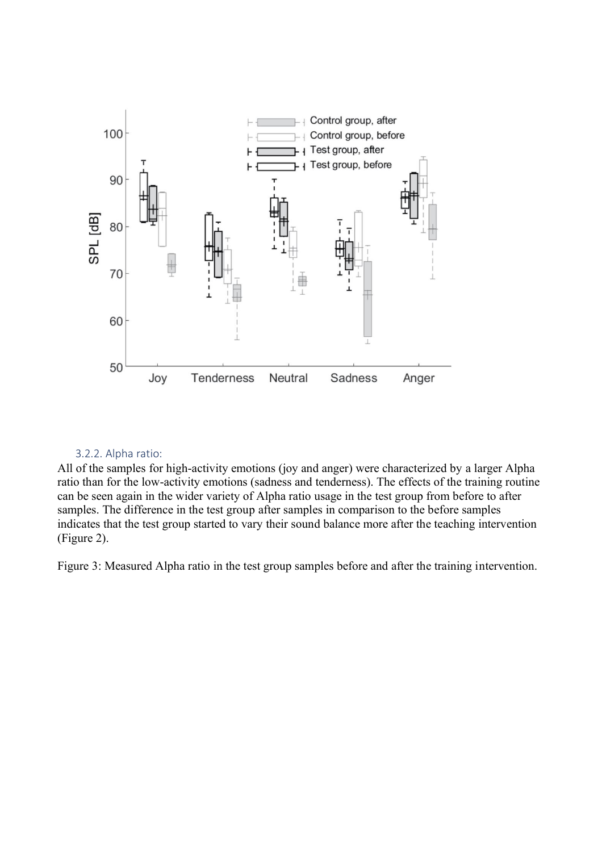

#### 3.2.2. Alpha ratio:

All of the samples for high-activity emotions (joy and anger) were characterized by a larger Alpha ratio than for the low-activity emotions (sadness and tenderness). The effects of the training routine can be seen again in the wider variety of Alpha ratio usage in the test group from before to after samples. The difference in the test group after samples in comparison to the before samples indicates that the test group started to vary their sound balance more after the teaching intervention (Figure 2).

Figure 3: Measured Alpha ratio in the test group samples before and after the training intervention.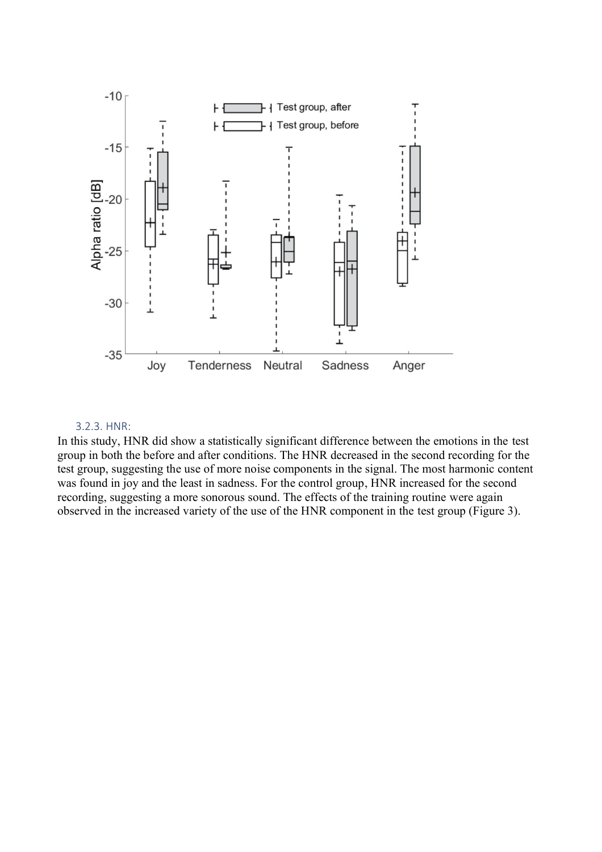

#### 3.2.3. HNR:

In this study, HNR did show a statistically significant difference between the emotions in the test group in both the before and after conditions. The HNR decreased in the second recording for the test group, suggesting the use of more noise components in the signal. The most harmonic content was found in joy and the least in sadness. For the control group, HNR increased for the second recording, suggesting a more sonorous sound. The effects of the training routine were again observed in the increased variety of the use of the HNR component in the test group (Figure 3).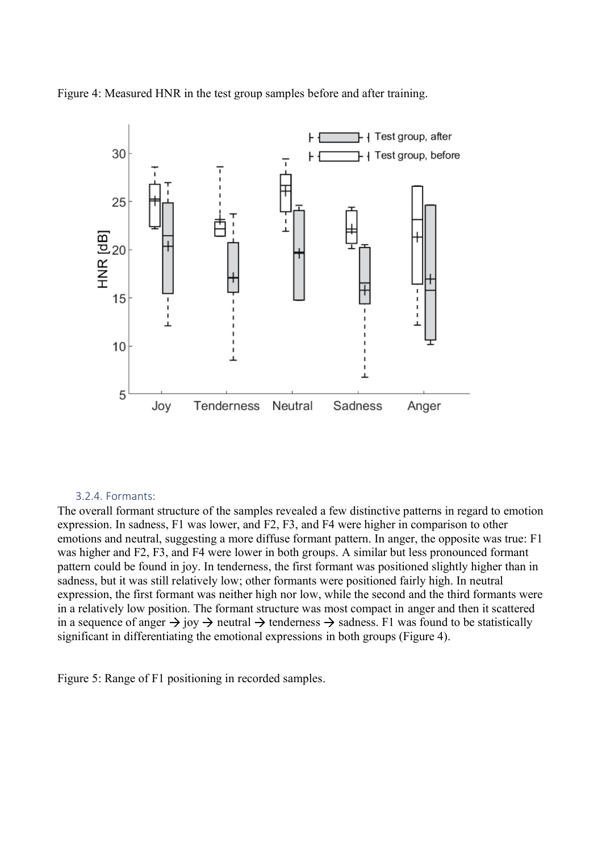



#### 3.2.4. Formants:

The overall formant structure of the samples revealed a few distinctive patterns in regard to emotion expression. In sadness, F1 was lower, and F2, F3, and F4 were higher in comparison to other emotions and neutral, suggesting a more diffuse formant pattern. In anger, the opposite was true: F1 was higher and F2, F3, and F4 were lower in both groups. A similar but less pronounced formant pattern could be found in joy. In tenderness, the first formant was positioned slightly higher than in sadness, but it was still relatively low; other formants were positioned fairly high. In neutral expression, the first formant was neither high nor low, while the second and the third formants were in a relatively low position. The formant structure was most compact in anger and then it scattered in a sequence of anger  $\rightarrow$  joy  $\rightarrow$  neutral  $\rightarrow$  tenderness  $\rightarrow$  sadness. F1 was found to be statistically significant in differentiating the emotional expressions in both groups (Figure 4).

Figure 5: Range of F1 positioning in recorded samples.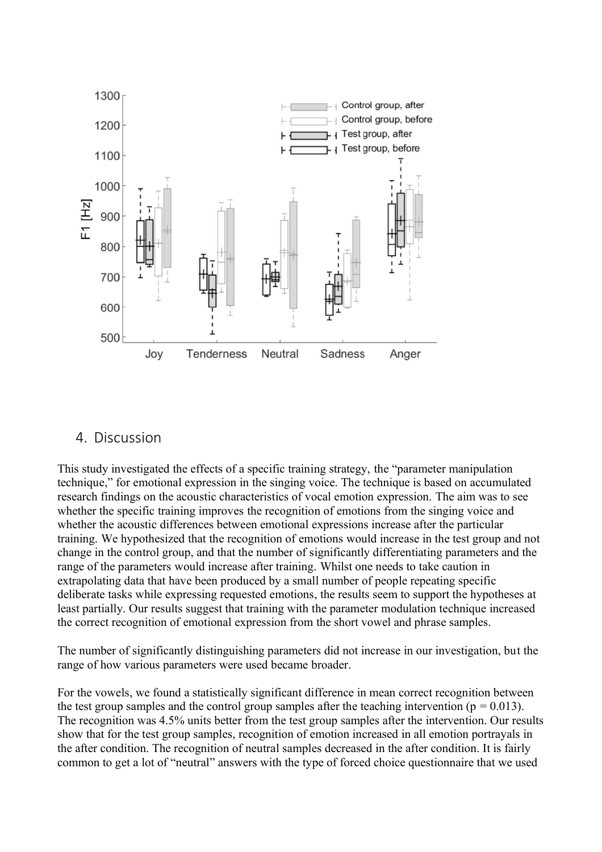

#### 4. Discussion

This study investigated the effects of a specific training strategy, the "parameter manipulation technique," for emotional expression in the singing voice. The technique is based on accumulated research findings on the acoustic characteristics of vocal emotion expression. The aim was to see whether the specific training improves the recognition of emotions from the singing voice and whether the acoustic differences between emotional expressions increase after the particular training. We hypothesized that the recognition of emotions would increase in the test group and not change in the control group, and that the number of significantly differentiating parameters and the range of the parameters would increase after training. Whilst one needs to take caution in extrapolating data that have been produced by a small number of people repeating specific deliberate tasks while expressing requested emotions, the results seem to support the hypotheses at least partially. Our results suggest that training with the parameter modulation technique increased the correct recognition of emotional expression from the short vowel and phrase samples.

The number of significantly distinguishing parameters did not increase in our investigation, but the range of how various parameters were used became broader.

For the vowels, we found a statistically significant difference in mean correct recognition between the test group samples and the control group samples after the teaching intervention ( $p = 0.013$ ). The recognition was 4.5% units better from the test group samples after the intervention. Our results show that for the test group samples, recognition of emotion increased in all emotion portrayals in the after condition. The recognition of neutral samples decreased in the after condition. It is fairly common to get a lot of "neutral" answers with the type of forced choice questionnaire that we used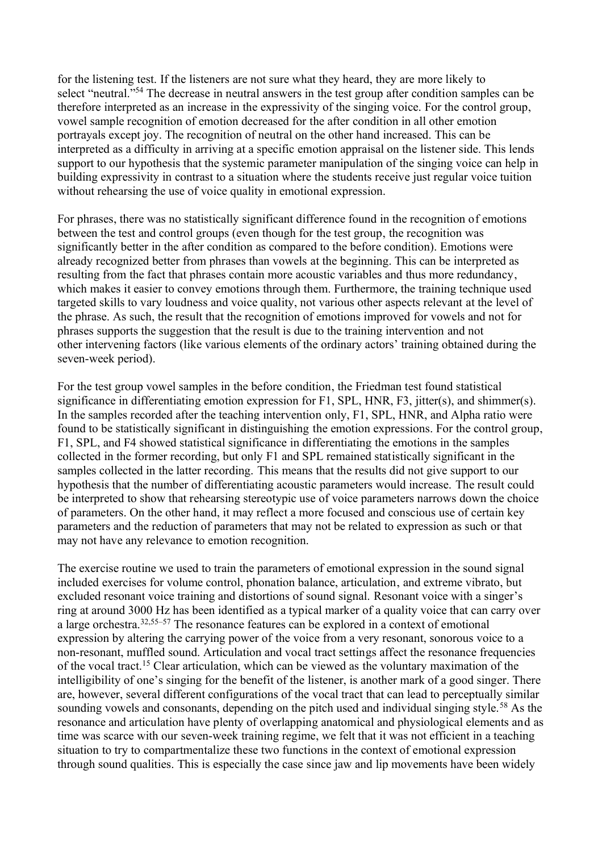for the listening test. If the listeners are not sure what they heard, they are more likely to select "neutral."<sup>54</sup> The decrease in neutral answers in the test group after condition samples can be therefore interpreted as an increase in the expressivity of the singing voice. For the control group, vowel sample recognition of emotion decreased for the after condition in all other emotion portrayals except joy. The recognition of neutral on the other hand increased. This can be interpreted as a difficulty in arriving at a specific emotion appraisal on the listener side. This lends support to our hypothesis that the systemic parameter manipulation of the singing voice can help in building expressivity in contrast to a situation where the students receive just regular voice tuition without rehearsing the use of voice quality in emotional expression.

For phrases, there was no statistically significant difference found in the recognition of emotions between the test and control groups (even though for the test group, the recognition was significantly better in the after condition as compared to the before condition). Emotions were already recognized better from phrases than vowels at the beginning. This can be interpreted as resulting from the fact that phrases contain more acoustic variables and thus more redundancy, which makes it easier to convey emotions through them. Furthermore, the training technique used targeted skills to vary loudness and voice quality, not various other aspects relevant at the level of the phrase. As such, the result that the recognition of emotions improved for vowels and not for phrases supports the suggestion that the result is due to the training intervention and not other intervening factors (like various elements of the ordinary actors' training obtained during the seven-week period).

For the test group vowel samples in the before condition, the Friedman test found statistical significance in differentiating emotion expression for F1, SPL, HNR, F3, jitter(s), and shimmer(s). In the samples recorded after the teaching intervention only, F1, SPL, HNR, and Alpha ratio were found to be statistically significant in distinguishing the emotion expressions. For the control group, F1, SPL, and F4 showed statistical significance in differentiating the emotions in the samples collected in the former recording, but only F1 and SPL remained statistically significant in the samples collected in the latter recording. This means that the results did not give support to our hypothesis that the number of differentiating acoustic parameters would increase. The result could be interpreted to show that rehearsing stereotypic use of voice parameters narrows down the choice of parameters. On the other hand, it may reflect a more focused and conscious use of certain key parameters and the reduction of parameters that may not be related to expression as such or that may not have any relevance to emotion recognition.

The exercise routine we used to train the parameters of emotional expression in the sound signal included exercises for volume control, phonation balance, articulation, and extreme vibrato, but excluded resonant voice training and distortions of sound signal. Resonant voice with a singer's ring at around 3000 Hz has been identified as a typical marker of a quality voice that can carry over a large orchestra.32,55–<sup>57</sup> The resonance features can be explored in a context of emotional expression by altering the carrying power of the voice from a very resonant, sonorous voice to a non-resonant, muffled sound. Articulation and vocal tract settings affect the resonance frequencies of the vocal tract.<sup>15</sup> Clear articulation, which can be viewed as the voluntary maximation of the intelligibility of one's singing for the benefit of the listener, is another mark of a good singer. There are, however, several different configurations of the vocal tract that can lead to perceptually similar sounding vowels and consonants, depending on the pitch used and individual singing style.<sup>58</sup> As the resonance and articulation have plenty of overlapping anatomical and physiological elements and as time was scarce with our seven-week training regime, we felt that it was not efficient in a teaching situation to try to compartmentalize these two functions in the context of emotional expression through sound qualities. This is especially the case since jaw and lip movements have been widely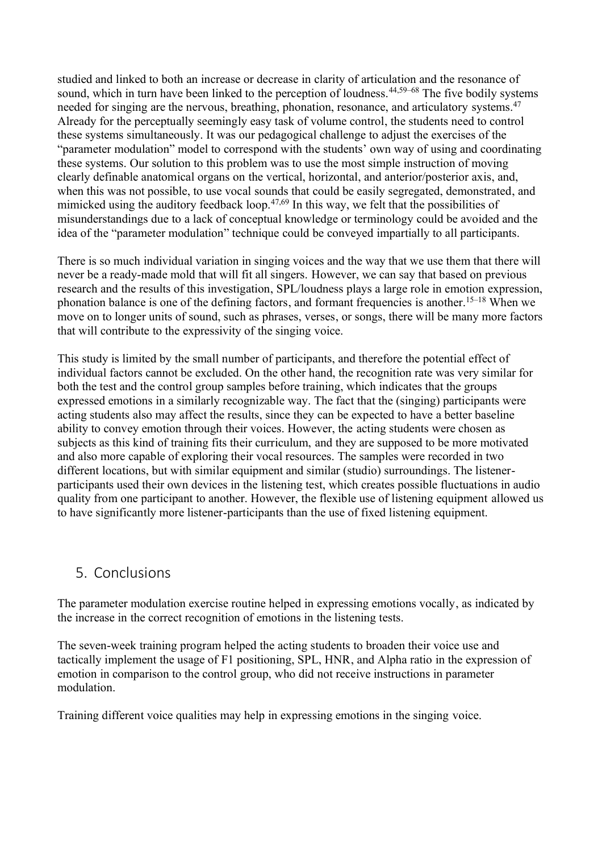studied and linked to both an increase or decrease in clarity of articulation and the resonance of sound, which in turn have been linked to the perception of loudness.<sup>44,59–68</sup> The five bodily systems needed for singing are the nervous, breathing, phonation, resonance, and articulatory systems.<sup>47</sup> Already for the perceptually seemingly easy task of volume control, the students need to control these systems simultaneously. It was our pedagogical challenge to adjust the exercises of the "parameter modulation" model to correspond with the students' own way of using and coordinating these systems. Our solution to this problem was to use the most simple instruction of moving clearly definable anatomical organs on the vertical, horizontal, and anterior/posterior axis, and, when this was not possible, to use vocal sounds that could be easily segregated, demonstrated, and mimicked using the auditory feedback loop.<sup>47,69</sup> In this way, we felt that the possibilities of misunderstandings due to a lack of conceptual knowledge or terminology could be avoided and the idea of the "parameter modulation" technique could be conveyed impartially to all participants.

There is so much individual variation in singing voices and the way that we use them that there will never be a ready-made mold that will fit all singers. However, we can say that based on previous research and the results of this investigation, SPL/loudness plays a large role in emotion expression, phonation balance is one of the defining factors, and formant frequencies is another.<sup>15–18</sup> When we move on to longer units of sound, such as phrases, verses, or songs, there will be many more factors that will contribute to the expressivity of the singing voice.

This study is limited by the small number of participants, and therefore the potential effect of individual factors cannot be excluded. On the other hand, the recognition rate was very similar for both the test and the control group samples before training, which indicates that the groups expressed emotions in a similarly recognizable way. The fact that the (singing) participants were acting students also may affect the results, since they can be expected to have a better baseline ability to convey emotion through their voices. However, the acting students were chosen as subjects as this kind of training fits their curriculum, and they are supposed to be more motivated and also more capable of exploring their vocal resources. The samples were recorded in two different locations, but with similar equipment and similar (studio) surroundings. The listenerparticipants used their own devices in the listening test, which creates possible fluctuations in audio quality from one participant to another. However, the flexible use of listening equipment allowed us to have significantly more listener-participants than the use of fixed listening equipment.

## 5. Conclusions

The parameter modulation exercise routine helped in expressing emotions vocally, as indicated by the increase in the correct recognition of emotions in the listening tests.

The seven-week training program helped the acting students to broaden their voice use and tactically implement the usage of F1 positioning, SPL, HNR, and Alpha ratio in the expression of emotion in comparison to the control group, who did not receive instructions in parameter modulation.

Training different voice qualities may help in expressing emotions in the singing voice.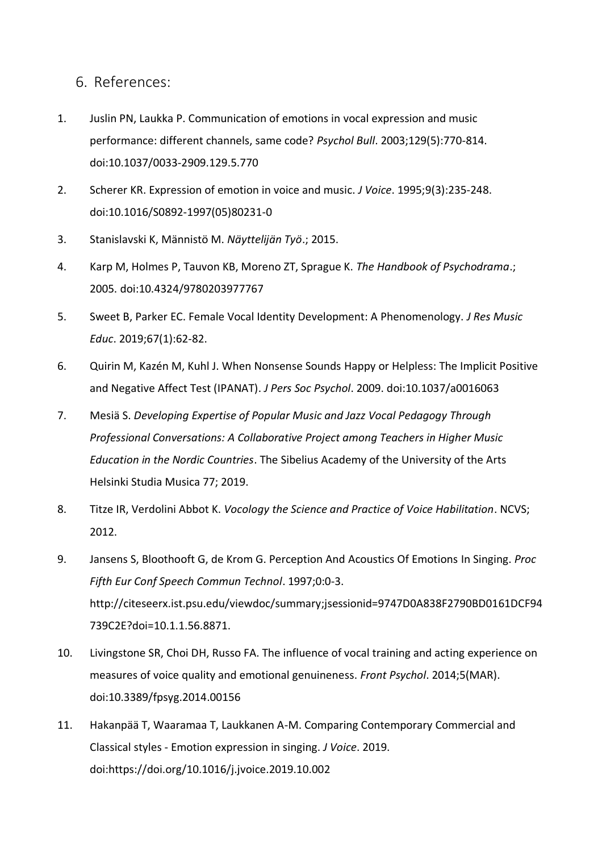6. References:

- 1. Juslin PN, Laukka P. Communication of emotions in vocal expression and music performance: different channels, same code? *Psychol Bull*. 2003;129(5):770-814. doi:10.1037/0033-2909.129.5.770
- 2. Scherer KR. Expression of emotion in voice and music. *J Voice*. 1995;9(3):235-248. doi:10.1016/S0892-1997(05)80231-0
- 3. Stanislavski K, Männistö M. *Näyttelijän Työ*.; 2015.
- 4. Karp M, Holmes P, Tauvon KB, Moreno ZT, Sprague K. *The Handbook of Psychodrama*.; 2005. doi:10.4324/9780203977767
- 5. Sweet B, Parker EC. Female Vocal Identity Development: A Phenomenology. *J Res Music Educ*. 2019;67(1):62-82.
- 6. Quirin M, Kazén M, Kuhl J. When Nonsense Sounds Happy or Helpless: The Implicit Positive and Negative Affect Test (IPANAT). *J Pers Soc Psychol*. 2009. doi:10.1037/a0016063
- 7. Mesiä S. *Developing Expertise of Popular Music and Jazz Vocal Pedagogy Through Professional Conversations: A Collaborative Project among Teachers in Higher Music Education in the Nordic Countries*. The Sibelius Academy of the University of the Arts Helsinki Studia Musica 77; 2019.
- 8. Titze IR, Verdolini Abbot K. *Vocology the Science and Practice of Voice Habilitation*. NCVS; 2012.
- 9. Jansens S, Bloothooft G, de Krom G. Perception And Acoustics Of Emotions In Singing. *Proc Fifth Eur Conf Speech Commun Technol*. 1997;0:0-3. http://citeseerx.ist.psu.edu/viewdoc/summary;jsessionid=9747D0A838F2790BD0161DCF94 739C2E?doi=10.1.1.56.8871.
- 10. Livingstone SR, Choi DH, Russo FA. The influence of vocal training and acting experience on measures of voice quality and emotional genuineness. *Front Psychol*. 2014;5(MAR). doi:10.3389/fpsyg.2014.00156
- 11. Hakanpää T, Waaramaa T, Laukkanen A-M. Comparing Contemporary Commercial and Classical styles - Emotion expression in singing. *J Voice*. 2019. doi:https://doi.org/10.1016/j.jvoice.2019.10.002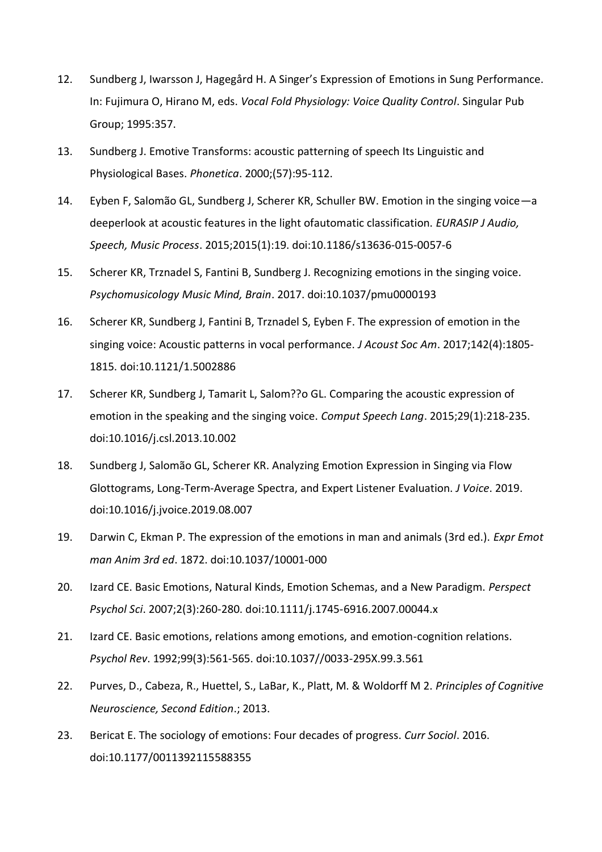- 12. Sundberg J, Iwarsson J, Hagegård H. A Singer's Expression of Emotions in Sung Performance. In: Fujimura O, Hirano M, eds. *Vocal Fold Physiology: Voice Quality Control*. Singular Pub Group; 1995:357.
- 13. Sundberg J. Emotive Transforms: acoustic patterning of speech Its Linguistic and Physiological Bases. *Phonetica*. 2000;(57):95-112.
- 14. Eyben F, Salomão GL, Sundberg J, Scherer KR, Schuller BW. Emotion in the singing voice—a deeperlook at acoustic features in the light ofautomatic classification. *EURASIP J Audio, Speech, Music Process*. 2015;2015(1):19. doi:10.1186/s13636-015-0057-6
- 15. Scherer KR, Trznadel S, Fantini B, Sundberg J. Recognizing emotions in the singing voice. *Psychomusicology Music Mind, Brain*. 2017. doi:10.1037/pmu0000193
- 16. Scherer KR, Sundberg J, Fantini B, Trznadel S, Eyben F. The expression of emotion in the singing voice: Acoustic patterns in vocal performance. *J Acoust Soc Am*. 2017;142(4):1805- 1815. doi:10.1121/1.5002886
- 17. Scherer KR, Sundberg J, Tamarit L, Salom??o GL. Comparing the acoustic expression of emotion in the speaking and the singing voice. *Comput Speech Lang*. 2015;29(1):218-235. doi:10.1016/j.csl.2013.10.002
- 18. Sundberg J, Salomão GL, Scherer KR. Analyzing Emotion Expression in Singing via Flow Glottograms, Long-Term-Average Spectra, and Expert Listener Evaluation. *J Voice*. 2019. doi:10.1016/j.jvoice.2019.08.007
- 19. Darwin C, Ekman P. The expression of the emotions in man and animals (3rd ed.). *Expr Emot man Anim 3rd ed*. 1872. doi:10.1037/10001-000
- 20. Izard CE. Basic Emotions, Natural Kinds, Emotion Schemas, and a New Paradigm. *Perspect Psychol Sci*. 2007;2(3):260-280. doi:10.1111/j.1745-6916.2007.00044.x
- 21. Izard CE. Basic emotions, relations among emotions, and emotion-cognition relations. *Psychol Rev*. 1992;99(3):561-565. doi:10.1037//0033-295X.99.3.561
- 22. Purves, D., Cabeza, R., Huettel, S., LaBar, K., Platt, M. & Woldorff M 2. *Principles of Cognitive Neuroscience, Second Edition*.; 2013.
- 23. Bericat E. The sociology of emotions: Four decades of progress. *Curr Sociol*. 2016. doi:10.1177/0011392115588355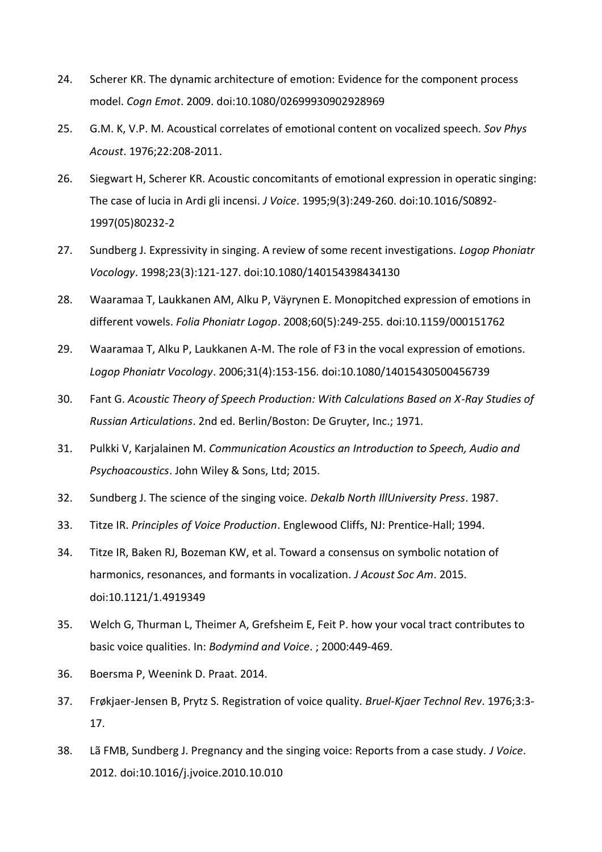- 24. Scherer KR. The dynamic architecture of emotion: Evidence for the component process model. *Cogn Emot*. 2009. doi:10.1080/02699930902928969
- 25. G.M. K, V.P. M. Acoustical correlates of emotional content on vocalized speech. *Sov Phys Acoust*. 1976;22:208-2011.
- 26. Siegwart H, Scherer KR. Acoustic concomitants of emotional expression in operatic singing: The case of lucia in Ardi gli incensi. *J Voice*. 1995;9(3):249-260. doi:10.1016/S0892- 1997(05)80232-2
- 27. Sundberg J. Expressivity in singing. A review of some recent investigations. *Logop Phoniatr Vocology*. 1998;23(3):121-127. doi:10.1080/140154398434130
- 28. Waaramaa T, Laukkanen AM, Alku P, Väyrynen E. Monopitched expression of emotions in different vowels. *Folia Phoniatr Logop*. 2008;60(5):249-255. doi:10.1159/000151762
- 29. Waaramaa T, Alku P, Laukkanen A-M. The role of F3 in the vocal expression of emotions. *Logop Phoniatr Vocology*. 2006;31(4):153-156. doi:10.1080/14015430500456739
- 30. Fant G. *Acoustic Theory of Speech Production: With Calculations Based on X-Ray Studies of Russian Articulations*. 2nd ed. Berlin/Boston: De Gruyter, Inc.; 1971.
- 31. Pulkki V, Karjalainen M. *Communication Acoustics an Introduction to Speech, Audio and Psychoacoustics*. John Wiley & Sons, Ltd; 2015.
- 32. Sundberg J. The science of the singing voice. *Dekalb North IllUniversity Press*. 1987.
- 33. Titze IR. *Principles of Voice Production*. Englewood Cliffs, NJ: Prentice-Hall; 1994.
- 34. Titze IR, Baken RJ, Bozeman KW, et al. Toward a consensus on symbolic notation of harmonics, resonances, and formants in vocalization. *J Acoust Soc Am*. 2015. doi:10.1121/1.4919349
- 35. Welch G, Thurman L, Theimer A, Grefsheim E, Feit P. how your vocal tract contributes to basic voice qualities. In: *Bodymind and Voice*. ; 2000:449-469.
- 36. Boersma P, Weenink D. Praat. 2014.
- 37. Frøkjaer-Jensen B, Prytz S. Registration of voice quality. *Bruel-Kjaer Technol Rev*. 1976;3:3- 17.
- 38. Lã FMB, Sundberg J. Pregnancy and the singing voice: Reports from a case study. *J Voice*. 2012. doi:10.1016/j.jvoice.2010.10.010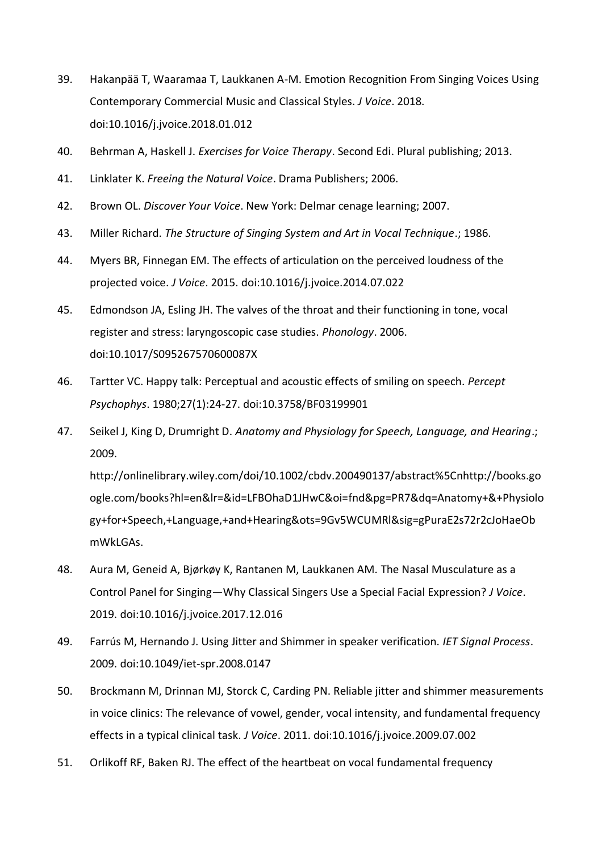- 39. Hakanpää T, Waaramaa T, Laukkanen A-M. Emotion Recognition From Singing Voices Using Contemporary Commercial Music and Classical Styles. *J Voice*. 2018. doi:10.1016/j.jvoice.2018.01.012
- 40. Behrman A, Haskell J. *Exercises for Voice Therapy*. Second Edi. Plural publishing; 2013.
- 41. Linklater K. *Freeing the Natural Voice*. Drama Publishers; 2006.
- 42. Brown OL. *Discover Your Voice*. New York: Delmar cenage learning; 2007.
- 43. Miller Richard. *The Structure of Singing System and Art in Vocal Technique*.; 1986.
- 44. Myers BR, Finnegan EM. The effects of articulation on the perceived loudness of the projected voice. *J Voice*. 2015. doi:10.1016/j.jvoice.2014.07.022
- 45. Edmondson JA, Esling JH. The valves of the throat and their functioning in tone, vocal register and stress: laryngoscopic case studies. *Phonology*. 2006. doi:10.1017/S095267570600087X
- 46. Tartter VC. Happy talk: Perceptual and acoustic effects of smiling on speech. *Percept Psychophys*. 1980;27(1):24-27. doi:10.3758/BF03199901
- 47. Seikel J, King D, Drumright D. *Anatomy and Physiology for Speech, Language, and Hearing*.; 2009.

http://onlinelibrary.wiley.com/doi/10.1002/cbdv.200490137/abstract%5Cnhttp://books.go ogle.com/books?hl=en&lr=&id=LFBOhaD1JHwC&oi=fnd&pg=PR7&dq=Anatomy+&+Physiolo gy+for+Speech,+Language,+and+Hearing&ots=9Gv5WCUMRl&sig=gPuraE2s72r2cJoHaeOb mWkLGAs.

- 48. Aura M, Geneid A, Bjørkøy K, Rantanen M, Laukkanen AM. The Nasal Musculature as a Control Panel for Singing—Why Classical Singers Use a Special Facial Expression? *J Voice*. 2019. doi:10.1016/j.jvoice.2017.12.016
- 49. Farrús M, Hernando J. Using Jitter and Shimmer in speaker verification. *IET Signal Process*. 2009. doi:10.1049/iet-spr.2008.0147
- 50. Brockmann M, Drinnan MJ, Storck C, Carding PN. Reliable jitter and shimmer measurements in voice clinics: The relevance of vowel, gender, vocal intensity, and fundamental frequency effects in a typical clinical task. *J Voice*. 2011. doi:10.1016/j.jvoice.2009.07.002
- 51. Orlikoff RF, Baken RJ. The effect of the heartbeat on vocal fundamental frequency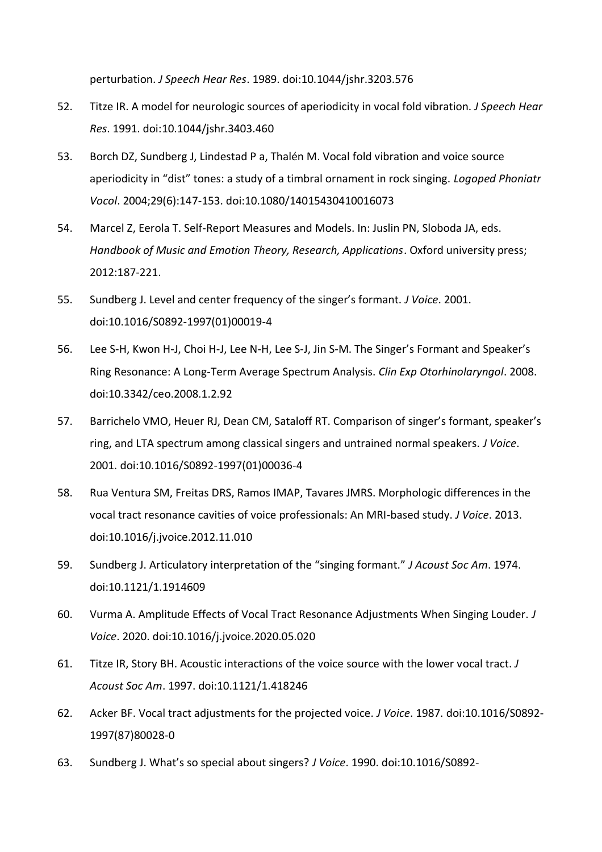perturbation. *J Speech Hear Res*. 1989. doi:10.1044/jshr.3203.576

- 52. Titze IR. A model for neurologic sources of aperiodicity in vocal fold vibration. *J Speech Hear Res*. 1991. doi:10.1044/jshr.3403.460
- 53. Borch DZ, Sundberg J, Lindestad P a, Thalén M. Vocal fold vibration and voice source aperiodicity in "dist" tones: a study of a timbral ornament in rock singing. *Logoped Phoniatr Vocol*. 2004;29(6):147-153. doi:10.1080/14015430410016073
- 54. Marcel Z, Eerola T. Self-Report Measures and Models. In: Juslin PN, Sloboda JA, eds. *Handbook of Music and Emotion Theory, Research, Applications*. Oxford university press; 2012:187-221.
- 55. Sundberg J. Level and center frequency of the singer's formant. *J Voice*. 2001. doi:10.1016/S0892-1997(01)00019-4
- 56. Lee S-H, Kwon H-J, Choi H-J, Lee N-H, Lee S-J, Jin S-M. The Singer's Formant and Speaker's Ring Resonance: A Long-Term Average Spectrum Analysis. *Clin Exp Otorhinolaryngol*. 2008. doi:10.3342/ceo.2008.1.2.92
- 57. Barrichelo VMO, Heuer RJ, Dean CM, Sataloff RT. Comparison of singer's formant, speaker's ring, and LTA spectrum among classical singers and untrained normal speakers. *J Voice*. 2001. doi:10.1016/S0892-1997(01)00036-4
- 58. Rua Ventura SM, Freitas DRS, Ramos IMAP, Tavares JMRS. Morphologic differences in the vocal tract resonance cavities of voice professionals: An MRI-based study. *J Voice*. 2013. doi:10.1016/j.jvoice.2012.11.010
- 59. Sundberg J. Articulatory interpretation of the "singing formant." *J Acoust Soc Am*. 1974. doi:10.1121/1.1914609
- 60. Vurma A. Amplitude Effects of Vocal Tract Resonance Adjustments When Singing Louder. *J Voice*. 2020. doi:10.1016/j.jvoice.2020.05.020
- 61. Titze IR, Story BH. Acoustic interactions of the voice source with the lower vocal tract. *J Acoust Soc Am*. 1997. doi:10.1121/1.418246
- 62. Acker BF. Vocal tract adjustments for the projected voice. *J Voice*. 1987. doi:10.1016/S0892- 1997(87)80028-0
- 63. Sundberg J. What's so special about singers? *J Voice*. 1990. doi:10.1016/S0892-